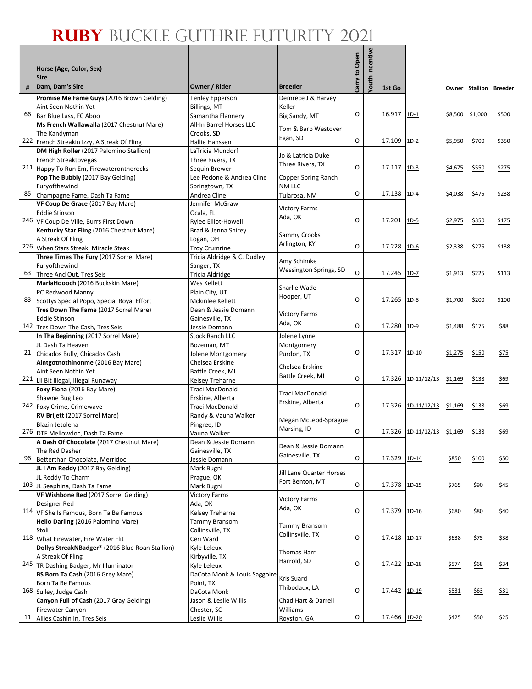Г

|     | Horse (Age, Color, Sex)<br><b>Sire</b>                                        |                                                     |                            | Open<br>S,<br>Carry | <b>Youth Incentive</b> |              |                            |         |         |                        |
|-----|-------------------------------------------------------------------------------|-----------------------------------------------------|----------------------------|---------------------|------------------------|--------------|----------------------------|---------|---------|------------------------|
| #   | Dam, Dam's Sire                                                               | Owner / Rider                                       | <b>Breeder</b>             |                     |                        | 1st Go       |                            |         |         | Owner Stallion Breeder |
|     | Promise Me Fame Guys (2016 Brown Gelding)                                     | <b>Tenley Epperson</b>                              | Demrece J & Harvey         |                     |                        |              |                            |         |         |                        |
| 66  | Aint Seen Nothin Yet<br>Bar Blue Lass, FC Aboo                                | <b>Billings, MT</b><br>Samantha Flannery            | Keller<br>Big Sandy, MT    | O                   |                        | 16.917       | $1D-1$                     | \$8,500 | \$1,000 | \$500                  |
|     | Ms French Wallawalla (2017 Chestnut Mare)                                     | All-In Barrel Horses LLC                            |                            |                     |                        |              |                            |         |         |                        |
|     | The Kandyman                                                                  | Crooks, SD                                          | Tom & Barb Westover        |                     |                        |              |                            |         |         |                        |
|     | 222 French Streakin Izzy, A Streak Of Fling                                   | Hallie Hanssen                                      | Egan, SD                   | O                   |                        | 17.109       | $1D-2$                     | \$5,950 | \$700   | \$350                  |
|     | DM High Roller (2017 Palomino Stallion)                                       | LaTricia Mundorf                                    | Jo & Latricia Duke         |                     |                        |              |                            |         |         |                        |
|     | French Streaktovegas                                                          | Three Rivers, TX                                    | Three Rivers, TX           | O                   |                        | 17.117       | $1D-3$                     |         |         | \$275                  |
|     | 211 Happy To Run Em, Firewaterontherocks<br>Pop The Bubbly (2017 Bay Gelding) | Sequin Brewer<br>Lee Pedone & Andrea Cline          | Copper Spring Ranch        |                     |                        |              |                            | \$4,675 | \$550   |                        |
|     | Furyofthewind                                                                 | Springtown, TX                                      | NM LLC                     |                     |                        |              |                            |         |         |                        |
| 85  | Champagne Fame, Dash Ta Fame                                                  | Andrea Cline                                        | Tularosa, NM               | O                   |                        | 17.138       | $1D-4$                     | \$4,038 | \$475   | \$238                  |
|     | VF Coup De Grace (2017 Bay Mare)                                              | Jennifer McGraw                                     |                            |                     |                        |              |                            |         |         |                        |
|     | <b>Eddie Stinson</b>                                                          | Ocala, FL                                           | <b>Victory Farms</b>       |                     |                        |              |                            |         |         |                        |
|     | 246 VF Coup De Ville, Burrs First Down                                        | Rylee Elliot-Howell                                 | Ada, OK                    | O                   |                        | 17.201       | $1D-5$                     | \$2,975 | \$350   | \$175                  |
|     | Kentucky Star Fling (2016 Chestnut Mare)                                      | Brad & Jenna Shirey                                 | Sammy Crooks               |                     |                        |              |                            |         |         |                        |
|     | A Streak Of Fling                                                             | Logan, OH                                           | Arlington, KY              | O                   |                        | 17.228       |                            |         |         |                        |
|     | 226 When Stars Streak, Miracle Steak                                          | <b>Troy Crumrine</b><br>Tricia Aldridge & C. Dudley |                            |                     |                        |              | $1D-6$                     | \$2,338 | \$275   | \$138                  |
|     | Three Times The Fury (2017 Sorrel Mare)<br>Furyofthewind                      | Sanger, TX                                          | Amy Schimke                |                     |                        |              |                            |         |         |                        |
| 63  | Three And Out, Tres Seis                                                      | <b>Tricia Aldridge</b>                              | Wessington Springs, SD     | O                   |                        | 17.245       | $1D-7$                     | \$1,913 | \$225   | \$113                  |
|     | MarlaHoooch (2016 Buckskin Mare)                                              | Wes Kellett                                         |                            |                     |                        |              |                            |         |         |                        |
|     | PC Redwood Manny                                                              | Plain City, UT                                      | Sharlie Wade               |                     |                        |              |                            |         |         |                        |
| 83  | Scottys Special Popo, Special Royal Effort                                    | Mckinlee Kellett                                    | Hooper, UT                 | O                   |                        | 17.265       | 1D-8                       | \$1,700 | \$200   | \$100                  |
|     | Tres Down The Fame (2017 Sorrel Mare)                                         | Dean & Jessie Domann                                | <b>Victory Farms</b>       |                     |                        |              |                            |         |         |                        |
|     | <b>Eddie Stinson</b>                                                          | Gainesville, TX                                     | Ada, OK                    |                     |                        |              |                            |         |         |                        |
| 142 | Tres Down The Cash, Tres Seis                                                 | Jessie Domann                                       |                            | O                   |                        | 17.280       | $1D-9$                     | \$1,488 | \$175   | \$88                   |
|     | In Tha Beginning (2017 Sorrel Mare)                                           | <b>Stock Ranch LLC</b>                              | Jolene Lynne               |                     |                        |              |                            |         |         |                        |
| 21  | JL Dash Ta Heaven<br>Chicados Bully, Chicados Cash                            | Bozeman, MT<br>Jolene Montgomery                    | Montgomery<br>Purdon, TX   | O                   |                        | 17.317       | $1D-10$                    | \$1,275 | \$150   | \$75                   |
|     | Aintgotnothinonme (2016 Bay Mare)                                             | Chelsea Erskine                                     |                            |                     |                        |              |                            |         |         |                        |
|     | Aint Seen Nothin Yet                                                          | Battle Creek, MI                                    | Chelsea Erskine            |                     |                        |              |                            |         |         |                        |
| 221 | Lil Bit Illegal, Illegal Runaway                                              | Kelsey Treharne                                     | Battle Creek, MI           | O                   |                        |              | 17.326 1D-11/12/13 \$1,169 |         | \$138   | \$69                   |
|     | Foxy Fiona (2016 Bay Mare)                                                    | Traci MacDonald                                     | Traci MacDonald            |                     |                        |              |                            |         |         |                        |
|     | Shawne Bug Leo                                                                | Erskine, Alberta                                    | Erskine, Alberta           |                     |                        |              |                            |         |         |                        |
|     | 242 Foxy Crime, Crimewave                                                     | Traci MacDonald                                     |                            | O                   |                        | 17.326       | 1D-11/12/13 \$1,169        |         | \$138   | \$69                   |
|     | RV Brijett (2017 Sorrel Mare)                                                 | Randy & Vauna Walker                                | Megan McLeod-Sprague       |                     |                        |              |                            |         |         |                        |
|     | Blazin Jetolena<br>276 DTF Mellowdoc, Dash Ta Fame                            | Pingree, ID<br>Vauna Walker                         | Marsing, ID                | O                   |                        | 17.326       | 1D-11/12/13 \$1,169        |         | \$138   | \$69                   |
|     | A Dash Of Chocolate (2017 Chestnut Mare)                                      | Dean & Jessie Domann                                |                            |                     |                        |              |                            |         |         |                        |
|     | The Red Dasher                                                                | Gainesville, TX                                     | Dean & Jessie Domann       |                     |                        |              |                            |         |         |                        |
| 96  | Betterthan Chocolate, Merridoc                                                | Jessie Domann                                       | Gainesville, TX            | $\mathsf O$         |                        | 17.329       | 1D-14                      | \$850   | \$100   | \$50                   |
|     | JL I Am Reddy (2017 Bay Gelding)                                              | Mark Bugni                                          | Jill Lane Quarter Horses   |                     |                        |              |                            |         |         |                        |
|     | JL Reddy To Charm                                                             | Prague, OK                                          | Fort Benton, MT            |                     |                        |              |                            |         |         |                        |
|     | 103 JL Seaphina, Dash Ta Fame                                                 | Mark Bugni                                          |                            | O                   |                        | 17.378       | $1D-15$                    | \$765   | \$90    | \$45                   |
|     | VF Wishbone Red (2017 Sorrel Gelding)                                         | <b>Victory Farms</b>                                | <b>Victory Farms</b>       |                     |                        |              |                            |         |         |                        |
|     | Designer Red<br>114 VF She Is Famous, Born Ta Be Famous                       | Ada, OK<br>Kelsey Treharne                          | Ada, OK                    | O                   |                        | 17.379       | 1D-16                      | \$680   | \$80    | \$40                   |
|     | Hello Darling (2016 Palomino Mare)                                            | <b>Tammy Bransom</b>                                |                            |                     |                        |              |                            |         |         |                        |
|     | Stoli                                                                         | Collinsville, TX                                    | Tammy Bransom              |                     |                        |              |                            |         |         |                        |
| 118 | What Firewater, Fire Water Flit                                               | Ceri Ward                                           | Collinsville, TX           | O                   |                        | 17.418       | $1D-17$                    | \$638   | \$75    | 538                    |
|     | Dollys StreakNBadger* (2016 Blue Roan Stallion)                               | Kyle Leleux                                         |                            |                     |                        |              |                            |         |         |                        |
|     | A Streak Of Fling                                                             | Kirbyville, TX                                      | Thomas Harr<br>Harrold, SD |                     |                        |              |                            |         |         |                        |
|     | 245   TR Dashing Badger, Mr Illuminator                                       | Kyle Leleux                                         |                            | O                   |                        | 17.422       | 1D-18                      | \$574   | \$68    | \$34                   |
|     | BS Born Ta Cash (2016 Grey Mare)                                              | DaCota Monk & Louis Saggoire                        | Kris Suard                 |                     |                        |              |                            |         |         |                        |
|     | Born Ta Be Famous                                                             | Point, TX                                           | Thibodaux, LA              | O                   |                        | 17.442       | $1D-19$                    |         |         |                        |
|     | 168 Sulley, Judge Cash<br>Canyon Full of Cash (2017 Gray Gelding)             | DaCota Monk<br>Jason & Leslie Willis                | Chad Hart & Darrell        |                     |                        |              |                            | \$531   | \$63    | \$31                   |
|     | Firewater Canyon                                                              | Chester, SC                                         | Williams                   |                     |                        |              |                            |         |         |                        |
| 11  | Allies Cashin In, Tres Seis                                                   | Leslie Willis                                       | Royston, GA                | О                   |                        | 17.466 1D-20 |                            | \$425   | \$50    | \$25                   |
|     |                                                                               |                                                     |                            |                     |                        |              |                            |         |         |                        |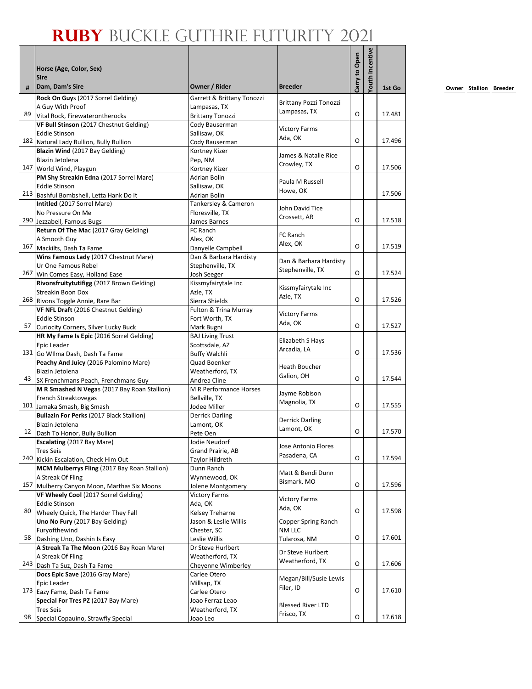|    | Horse (Age, Color, Sex)<br><b>Sire</b>                                               |                                         |                                 | Carry to Open | outh Incentive |        |
|----|--------------------------------------------------------------------------------------|-----------------------------------------|---------------------------------|---------------|----------------|--------|
| #  | Dam, Dam's Sire                                                                      | Owner / Rider                           | <b>Breeder</b>                  |               |                | 1st Go |
|    | Rock On Guys (2017 Sorrel Gelding)                                                   | Garrett & Brittany Tonozzi              | <b>Brittany Pozzi Tonozzi</b>   |               |                |        |
| 89 | A Guy With Proof                                                                     | Lampasas, TX                            | Lampasas, TX                    | O             |                | 17.481 |
|    | Vital Rock, Firewaterontherocks                                                      | <b>Brittany Tonozzi</b>                 |                                 |               |                |        |
|    | VF Bull Stinson (2017 Chestnut Gelding)<br><b>Eddie Stinson</b>                      | Cody Bauserman<br>Sallisaw, OK          | <b>Victory Farms</b>            |               |                |        |
|    | 182 Natural Lady Bullion, Bully Bullion                                              | Cody Bauserman                          | Ada, OK                         | O             |                | 17.496 |
|    | Blazin Wind (2017 Bay Gelding)                                                       | Kortney Kizer                           |                                 |               |                |        |
|    | Blazin Jetolena                                                                      | Pep, NM                                 | James & Natalie Rice            |               |                |        |
|    | 147 World Wind, Playgun                                                              | Kortney Kizer                           | Crowley, TX                     | O             |                | 17.506 |
|    | PM Shy Streakin Edna (2017 Sorrel Mare)                                              | Adrian Bolin                            | Paula M Russell                 |               |                |        |
|    | <b>Eddie Stinson</b>                                                                 | Sallisaw, OK                            | Howe, OK                        |               |                |        |
|    | 213 Bashful Bombshell, Letta Hank Do It                                              | Adrian Bolin                            |                                 |               |                | 17.506 |
|    | Intitled (2017 Sorrel Mare)<br>No Pressure On Me                                     | Tankersley & Cameron<br>Floresville, TX | John David Tice                 |               |                |        |
|    | 290 Jezzabell, Famous Bugs                                                           | James Barnes                            | Crossett, AR                    | O             |                | 17.518 |
|    | Return Of The Mac (2017 Gray Gelding)                                                | FC Ranch                                |                                 |               |                |        |
|    | A Smooth Guy                                                                         | Alex. OK                                | FC Ranch                        |               |                |        |
|    | 167 Mackilts, Dash Ta Fame                                                           | Danyelle Campbell                       | Alex, OK                        | O             |                | 17.519 |
|    | Wins Famous Lady (2017 Chestnut Mare)                                                | Dan & Barbara Hardisty                  | Dan & Barbara Hardisty          |               |                |        |
|    | Ur One Famous Rebel                                                                  | Stephenville, TX                        | Stephenville, TX                |               |                |        |
|    | 267 Win Comes Easy, Holland Ease                                                     | Josh Seeger                             |                                 | O             |                | 17.524 |
|    | Rivonsfruitytutifigg (2017 Brown Gelding)                                            | Kissmyfairytale Inc                     | Kissmyfairytale Inc             |               |                |        |
|    | Streakin Boon Dox<br>268 Rivons Toggle Annie, Rare Bar                               | Azle, TX<br>Sierra Shields              | Azle, TX                        | O             |                | 17.526 |
|    | VF NFL Draft (2016 Chestnut Gelding)                                                 | Fulton & Trina Murray                   |                                 |               |                |        |
|    | <b>Eddie Stinson</b>                                                                 | Fort Worth, TX                          | <b>Victory Farms</b>            |               |                |        |
| 57 | Curiocity Corners, Silver Lucky Buck                                                 | Mark Bugni                              | Ada, OK                         | O             |                | 17.527 |
|    | HR My Fame Is Epic (2016 Sorrel Gelding)                                             | <b>BAJ Living Trust</b>                 |                                 |               |                |        |
|    | Epic Leader                                                                          | Scottsdale, AZ                          | Elizabeth S Hays<br>Arcadia, LA |               |                |        |
|    | 131 Go Wilma Dash, Dash Ta Fame                                                      | <b>Buffy Walchli</b>                    |                                 | O             |                | 17.536 |
|    | Peachy And Juicy (2016 Palomino Mare)                                                | Quad Boenker                            | Heath Boucher                   |               |                |        |
| 43 | Blazin Jetolena                                                                      | Weatherford, TX                         | Galion, OH                      | O             |                | 17.544 |
|    | SX Frenchmans Peach, Frenchmans Guy<br>M R Smashed N Vegas (2017 Bay Roan Stallion)  | Andrea Cline<br>M R Performance Horses  |                                 |               |                |        |
|    | French Streaktovegas                                                                 | Bellville, TX                           | Jayme Robison                   |               |                |        |
|    | 101 Jamaka Smash, Big Smash                                                          | Jodee Miller                            | Magnolia, TX                    | O             |                | 17.555 |
|    | Bullazin For Perks (2017 Black Stallion)                                             | <b>Derrick Darling</b>                  |                                 |               |                |        |
|    | Blazin Jetolena                                                                      | Lamont, OK                              | Derrick Darling                 |               |                |        |
| 12 | Dash To Honor, Bully Bullion                                                         | Pete Oen                                | Lamont, OK                      | O             |                | 17.570 |
|    | <b>Escalating (2017 Bay Mare)</b>                                                    | Jodie Neudorf                           | Jose Antonio Flores             |               |                |        |
|    | <b>Tres Seis</b>                                                                     | Grand Prairie, AB                       | Pasadena, CA                    | O             |                | 17.594 |
|    | 240 Kickin Escalation, Check Him Out<br>MCM Mulberrys Fling (2017 Bay Roan Stallion) | Taylor Hildreth<br>Dunn Ranch           |                                 |               |                |        |
|    | A Streak Of Fling                                                                    | Wynnewood, OK                           | Matt & Bendi Dunn               |               |                |        |
|    | 157 Mulberry Canyon Moon, Marthas Six Moons                                          | Jolene Montgomery                       | Bismark, MO                     | O             |                | 17.596 |
|    | VF Wheely Cool (2017 Sorrel Gelding)                                                 | <b>Victory Farms</b>                    |                                 |               |                |        |
|    | <b>Eddie Stinson</b>                                                                 | Ada, OK                                 | <b>Victory Farms</b><br>Ada, OK |               |                |        |
| 80 | Wheely Quick, The Harder They Fall                                                   | Kelsey Treharne                         |                                 | O             |                | 17.598 |
|    | Uno No Fury (2017 Bay Gelding)                                                       | Jason & Leslie Willis                   | Copper Spring Ranch             |               |                |        |
| 58 | Furyofthewind                                                                        | Chester, SC                             | NM LLC                          | O             |                | 17.601 |
|    | Dashing Uno, Dashin Is Easy<br>A Streak Ta The Moon (2016 Bay Roan Mare)             | Leslie Willis                           | Tularosa, NM                    |               |                |        |
|    | A Streak Of Fling                                                                    | Dr Steve Hurlbert<br>Weatherford, TX    | Dr Steve Hurlbert               |               |                |        |
|    | 243 Dash Ta Suz, Dash Ta Fame                                                        | Cheyenne Wimberley                      | Weatherford, TX                 | O             |                | 17.606 |
|    | Docs Epic Save (2016 Gray Mare)                                                      | Carlee Otero                            |                                 |               |                |        |
|    | Epic Leader                                                                          | Millsap, TX                             | Megan/Bill/Susie Lewis          |               |                |        |
|    | 173 Eazy Fame, Dash Ta Fame                                                          | Carlee Otero                            | Filer, ID                       | O             |                | 17.610 |
|    | Special For Tres PZ (2017 Bay Mare)                                                  | Joao Ferraz Leao                        | <b>Blessed River LTD</b>        |               |                |        |
|    | <b>Tres Seis</b>                                                                     | Weatherford, TX                         | Frisco, TX                      |               |                |        |
| 98 | Special Copauino, Strawfly Special                                                   | Joao Leo                                |                                 | O             |                | 17.618 |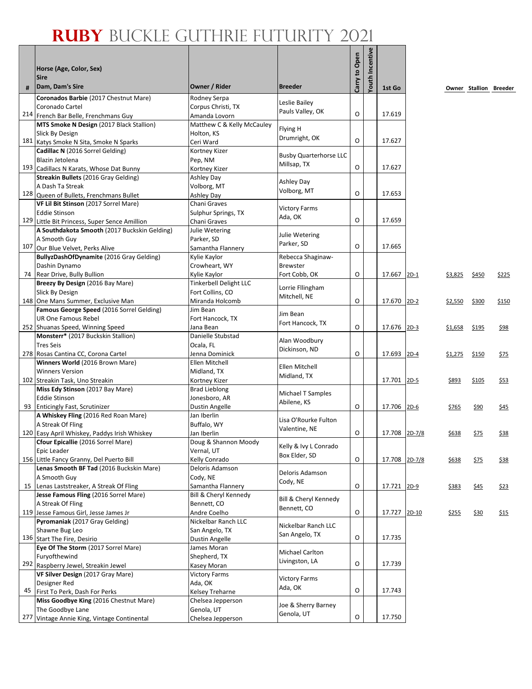|     | Horse (Age, Color, Sex)<br><b>Sire</b>                                                                             |                                                               |                                              | to Open | Youth Incentive |               |        |                |                        |             |
|-----|--------------------------------------------------------------------------------------------------------------------|---------------------------------------------------------------|----------------------------------------------|---------|-----------------|---------------|--------|----------------|------------------------|-------------|
| #   | Dam, Dam's Sire                                                                                                    | Owner / Rider                                                 | <b>Breeder</b>                               | Carry   |                 | 1st Go        |        |                | Owner Stallion Breeder |             |
|     | Coronados Barbie (2017 Chestnut Mare)<br>Coronado Cartel<br>214 French Bar Belle, Frenchmans Guy                   | Rodney Serpa<br>Corpus Christi, TX                            | Leslie Bailey<br>Pauls Valley, OK            | O       |                 | 17.619        |        |                |                        |             |
|     | MTS Smoke N Design (2017 Black Stallion)<br>Slick By Design<br>181 Katys Smoke N Sita, Smoke N Sparks              | Amanda Lovorn<br>Matthew C & Kelly McCauley<br>Holton, KS     | Flying H<br>Drumright, OK                    | O       |                 | 17.627        |        |                |                        |             |
|     | Cadillac N (2016 Sorrel Gelding)<br>Blazin Jetolena                                                                | Ceri Ward<br>Kortney Kizer<br>Pep, NM                         | <b>Busby Quarterhorse LLC</b><br>Millsap, TX |         |                 |               |        |                |                        |             |
|     | 193 Cadillacs N Karats, Whose Dat Bunny<br>Streakin Bullets (2016 Gray Gelding)<br>A Dash Ta Streak                | Kortney Kizer<br>Ashley Day<br>Volborg, MT                    | Ashley Day                                   | O       |                 | 17.627        |        |                |                        |             |
|     | 128 Queen of Bullets, Frenchmans Bullet<br>VF Lil Bit Stinson (2017 Sorrel Mare)<br><b>Eddie Stinson</b>           | Ashley Day<br>Chani Graves                                    | Volborg, MT<br><b>Victory Farms</b>          | O       |                 | 17.653        |        |                |                        |             |
|     | 129 Little Bit Princess, Super Sence Amillion<br>A Southdakota Smooth (2017 Buckskin Gelding)                      | Sulphur Springs, TX<br>Chani Graves<br>Julie Wetering         | Ada, OK<br>Julie Wetering                    | O       |                 | 17.659        |        |                |                        |             |
| 107 | A Smooth Guy<br>Our Blue Velvet, Perks Alive<br>BullyzDashOfDynamite (2016 Gray Gelding)                           | Parker, SD<br>Samantha Flannery<br>Kylie Kaylor               | Parker, SD<br>Rebecca Shaginaw-              | O       |                 | 17.665        |        |                |                        |             |
|     | Dashin Dynamo<br>74 Rear Drive, Bully Bullion                                                                      | Crowheart, WY<br>Kylie Kaylor                                 | <b>Brewster</b><br>Fort Cobb, OK             | O       |                 | 17.667        | $2D-1$ | <u>\$3,825</u> | \$450                  | \$225       |
|     | Breezy By Design (2016 Bay Mare)<br>Slick By Design<br>148 One Mans Summer, Exclusive Man                          | Tinkerbell Delight LLC<br>Fort Collins, CO<br>Miranda Holcomb | Lorrie Fllingham<br>Mitchell, NE             | O       |                 | 17.670 2D-2   |        | \$2,550        | \$300                  | \$150       |
|     | <b>Famous George Speed (2016 Sorrel Gelding)</b><br><b>UR One Famous Rebel</b><br>252 Shuanas Speed, Winning Speed | Jim Bean<br>Fort Hancock, TX<br>Jana Bean                     | Jim Bean<br>Fort Hancock, TX                 | $\circ$ |                 | 17.676        | $2D-3$ | \$1,658        | \$195                  | \$98        |
|     | Monsterr* (2017 Buckskin Stallion)<br><b>Tres Seis</b><br>278 Rosas Cantina CC, Corona Cartel                      | Danielle Stubstad<br>Ocala, FL<br>Jenna Dominick              | Alan Woodbury<br>Dickinson, ND               | O       |                 | 17.693        | $2D-4$ | \$1,275        | \$150                  | \$75        |
|     | Winners World (2016 Brown Mare)<br><b>Winners Version</b>                                                          | Ellen Mitchell<br>Midland, TX                                 | Ellen Mitchell<br>Midland, TX                |         |                 |               |        |                |                        |             |
|     | 102 Streakin Task, Uno Streakin<br>Miss Edy Stinson (2017 Bay Mare)<br><b>Eddie Stinson</b>                        | Kortney Kizer<br><b>Brad Lieblong</b><br>Jonesboro, AR        | Michael T Samples<br>Abilene, KS             |         |                 | 17.701        | $2D-5$ | <u>\$893</u>   | \$105                  | <u>\$53</u> |
| 93  | <b>Enticingly Fast, Scrutinizer</b><br>A Whiskey Fling (2016 Red Roan Mare)<br>A Streak Of Fling                   | Dustin Angelle<br>Jan Iberlin<br>Buffalo, WY                  | Lisa O'Rourke Fulton                         | O       |                 | 17.706        | $2D-6$ | \$765          | \$90                   | \$45        |
|     | 120 Easy April Whiskey, Paddys Irish Whiskey<br>Cfour Epicallie (2016 Sorrel Mare)<br>Epic Leader                  | Jan Iberlin<br>Doug & Shannon Moody<br>Vernal, UT             | Valentine, NE<br>Kelly & Ivy L Conrado       | O       |                 | 17.708 2D-7/8 |        | \$638          | \$75                   | \$38        |
|     | 156 Little Fancy Granny, Del Puerto Bill<br>Lenas Smooth BF Tad (2016 Buckskin Mare)                               | Kelly Conrado<br>Deloris Adamson                              | Box Elder, SD<br>Deloris Adamson             | O       |                 | 17.708 2D-7/8 |        | <u>\$638</u>   | <u>\$75</u>            | \$38        |
| 15  | A Smooth Guy<br>Lenas Laststreaker, A Streak Of Fling<br>Jesse Famous Fling (2016 Sorrel Mare)                     | Cody, NE<br>Samantha Flannery<br>Bill & Cheryl Kennedy        | Cody, NE<br>Bill & Cheryl Kennedy            | 0       |                 | 17.721 2D-9   |        | \$383          | \$45                   | \$23        |
|     | A Streak Of Fling<br>119 Jesse Famous Girl, Jesse James Jr<br>Pyromaniak (2017 Gray Gelding)                       | Bennett, CO<br>Andre Coelho<br>Nickelbar Ranch LLC            | Bennett, CO                                  | 0       |                 | 17.727 2D-10  |        | <u>\$255</u>   | \$30                   | \$15        |
|     | Shawne Bug Leo<br>136 Start The Fire, Desirio                                                                      | San Angelo, TX<br>Dustin Angelle                              | Nickelbar Ranch LLC<br>San Angelo, TX        | O       |                 | 17.735        |        |                |                        |             |
|     | Eye Of The Storm (2017 Sorrel Mare)<br>Furyofthewind<br>292 Raspberry Jewel, Streakin Jewel                        | James Moran<br>Shepherd, TX<br>Kasey Moran                    | Michael Carlton<br>Livingston, LA            | O       |                 | 17.739        |        |                |                        |             |
| 45  | VF Silver Design (2017 Gray Mare)<br>Designer Red<br>First To Perk, Dash For Perks                                 | <b>Victory Farms</b><br>Ada, OK<br>Kelsey Treharne            | <b>Victory Farms</b><br>Ada, OK              | O       |                 | 17.743        |        |                |                        |             |
|     | Miss Goodbye King (2016 Chestnut Mare)<br>The Goodbye Lane                                                         | Chelsea Jepperson<br>Genola, UT                               | Joe & Sherry Barney<br>Genola, UT            | O       |                 | 17.750        |        |                |                        |             |
| 277 | Vintage Annie King, Vintage Continental                                                                            | Chelsea Jepperson                                             |                                              |         |                 |               |        |                |                        |             |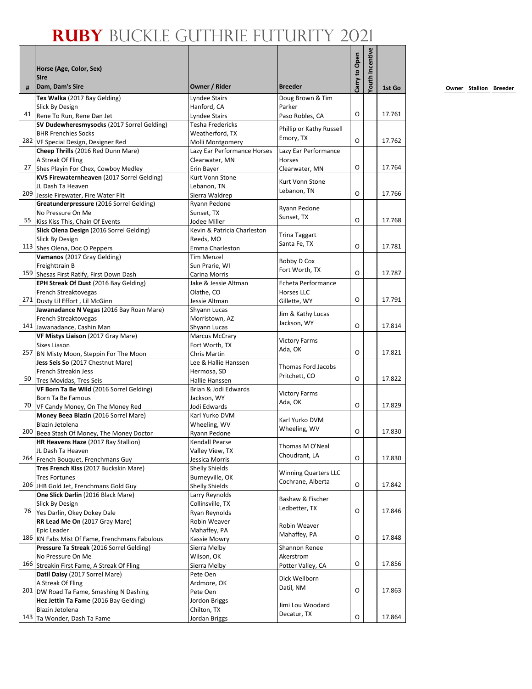|     |                                                                                      |                                  |                             |               | outh Incentive |        |
|-----|--------------------------------------------------------------------------------------|----------------------------------|-----------------------------|---------------|----------------|--------|
|     | Horse (Age, Color, Sex)                                                              |                                  |                             |               |                |        |
| #   | <b>Sire</b><br>Dam, Dam's Sire                                                       | Owner / Rider                    | <b>Breeder</b>              | Carry to Open |                | 1st Go |
|     | Tex Walka (2017 Bay Gelding)                                                         | <b>Lyndee Stairs</b>             | Doug Brown & Tim            |               |                |        |
|     | Slick By Design                                                                      | Hanford, CA                      | Parker                      |               |                |        |
|     | 41 Rene To Run, Rene Dan Jet                                                         | Lyndee Stairs                    | Paso Robles, CA             | O             |                | 17.761 |
|     | SV Dudewheresmysocks (2017 Sorrel Gelding)                                           | Tesha Fredericks                 | Phillip or Kathy Russell    |               |                |        |
|     | <b>BHR Frenchies Socks</b>                                                           | Weatherford, TX                  | Emory, TX                   |               |                |        |
|     | 282 VF Special Design, Designer Red                                                  | Molli Montgomery                 |                             | O             |                | 17.762 |
|     | Cheep Thrills (2016 Red Dunn Mare)                                                   | Lazy Ear Performance Horses      | Lazy Ear Performance        |               |                |        |
|     | A Streak Of Fling                                                                    | Clearwater, MN                   | <b>Horses</b>               | O             |                | 17.764 |
|     | 27 Shes Playin For Chex, Cowboy Medley<br>KVS Firewaternheaven (2017 Sorrel Gelding) | Erin Bayer<br>Kurt Vonn Stone    | Clearwater, MN              |               |                |        |
|     | JL Dash Ta Heaven                                                                    | Lebanon, TN                      | Kurt Vonn Stone             |               |                |        |
|     | 209 Jessie Firewater, Fire Water Flit                                                | Sierra Waldrep                   | Lebanon, TN                 | O             |                | 17.766 |
|     | Greatunderpressure (2016 Sorrel Gelding)                                             | Ryann Pedone                     |                             |               |                |        |
|     | No Pressure On Me                                                                    | Sunset, TX                       | Ryann Pedone                |               |                |        |
| 55  | Kiss Kiss This, Chain Of Events                                                      | Jodee Miller                     | Sunset, TX                  | O             |                | 17.768 |
|     | Slick Olena Design (2016 Sorrel Gelding)                                             | Kevin & Patricia Charleston      |                             |               |                |        |
|     | Slick By Design                                                                      | Reeds, MO                        | <b>Trina Taggart</b>        |               |                |        |
|     | 113 Shes Olena, Doc O Peppers                                                        | Emma Charleston                  | Santa Fe, TX                | O             |                | 17.781 |
|     | Vamanos (2017 Gray Gelding)                                                          | <b>Tim Menzel</b>                |                             |               |                |        |
|     | Freighttrain B                                                                       | Sun Prarie, WI                   | Bobby D Cox                 |               |                |        |
|     | 159 Shesas First Ratify, First Down Dash                                             | Carina Morris                    | Fort Worth, TX              | O             |                | 17.787 |
|     | EPH Streak Of Dust (2016 Bay Gelding)                                                | Jake & Jessie Altman             | Echeta Performance          |               |                |        |
|     | French Streaktovegas                                                                 | Olathe, CO                       | Horses LLC                  |               |                |        |
|     | 271 Dusty Lil Effort, Lil McGinn                                                     | Jessie Altman                    | Gillette, WY                | O             |                | 17.791 |
|     | Jawanadance N Vegas (2016 Bay Roan Mare)                                             | Shyann Lucas                     | Jim & Kathy Lucas           |               |                |        |
|     | French Streaktovegas                                                                 | Morristown, AZ                   | Jackson, WY                 | O             |                | 17.814 |
|     | 141 Jawanadance, Cashin Man                                                          | Shyann Lucas                     |                             |               |                |        |
|     | VF Mistys Liaison (2017 Gray Mare)                                                   | <b>Marcus McCrary</b>            | <b>Victory Farms</b>        |               |                |        |
| 257 | Sixes Liason<br>BN Misty Moon, Steppin For The Moon                                  | Fort Worth, TX<br>Chris Martin   | Ada, OK                     | O             |                | 17.821 |
|     | Jess Seis So (2017 Chestnut Mare)                                                    | Lee & Hallie Hanssen             |                             |               |                |        |
|     | French Streakin Jess                                                                 | Hermosa, SD                      | Thomas Ford Jacobs          |               |                |        |
| 50  | Tres Movidas, Tres Seis                                                              | Hallie Hanssen                   | Pritchett, CO               | O             |                | 17.822 |
|     | VF Born Ta Be Wild (2016 Sorrel Gelding)                                             | Brian & Jodi Edwards             |                             |               |                |        |
|     | <b>Born Ta Be Famous</b>                                                             | Jackson, WY                      | <b>Victory Farms</b>        |               |                |        |
| 70  | VF Candy Money, On The Money Red                                                     | Jodi Edwards                     | Ada, OK                     | O             |                | 17.829 |
|     | Money Beea Blazin (2016 Sorrel Mare)                                                 | Karl Yurko DVM                   | Karl Yurko DVM              |               |                |        |
|     | Blazin Jetolena                                                                      | Wheeling, WV                     | Wheeling, WV                |               |                |        |
|     | 200 Beea Stash Of Money, The Money Doctor                                            | Ryann Pedone                     |                             | O             |                | 17.830 |
|     | HR Heavens Haze (2017 Bay Stallion)                                                  | Kendall Pearse                   | Thomas M O'Neal             |               |                |        |
|     | JL Dash Ta Heaven                                                                    | Valley View, TX                  | Choudrant, LA               |               |                |        |
|     | 264 French Bouquet, Frenchmans Guy                                                   | Jessica Morris                   |                             | O             |                | 17.830 |
|     | Tres French Kiss (2017 Buckskin Mare)                                                | <b>Shelly Shields</b>            | <b>Winning Quarters LLC</b> |               |                |        |
|     | <b>Tres Fortunes</b>                                                                 | Burneyville, OK                  | Cochrane, Alberta           | O             |                | 17.842 |
|     | 206 JHB Gold Jet, Frenchmans Gold Guy<br>One Slick Darlin (2016 Black Mare)          | Shelly Shields<br>Larry Reynolds |                             |               |                |        |
|     | Slick By Design                                                                      | Collinsville, TX                 | Bashaw & Fischer            |               |                |        |
| 76  | Yes Darlin, Okey Dokey Dale                                                          | <b>Rvan Revnolds</b>             | Ledbetter, TX               | O             |                | 17.846 |
|     | RR Lead Me On (2017 Gray Mare)                                                       | Robin Weaver                     |                             |               |                |        |
|     | Epic Leader                                                                          | Mahaffey, PA                     | Robin Weaver                |               |                |        |
|     | 186 KN Fabs Mist Of Fame, Frenchmans Fabulous                                        | Kassie Mowry                     | Mahaffey, PA                | O             |                | 17.848 |
|     | Pressure Ta Streak (2016 Sorrel Gelding)                                             | Sierra Melby                     | Shannon Renee               |               |                |        |
|     | No Pressure On Me                                                                    | Wilson, OK                       | Akerstrom                   |               |                |        |
|     | 166 Streakin First Fame, A Streak Of Fling                                           | Sierra Melby                     | Potter Valley, CA           | O             |                | 17.856 |
|     | Datil Daisy (2017 Sorrel Mare)                                                       | Pete Oen                         | Dick Wellborn               |               |                |        |
|     | A Streak Of Fling                                                                    | Ardmore, OK                      | Datil, NM                   |               |                |        |
|     | 201 DW Road Ta Fame, Smashing N Dashing                                              | Pete Oen                         |                             | O             |                | 17.863 |
|     | Hez Jettin Ta Fame (2016 Bay Gelding)                                                | Jordon Briggs                    | Jimi Lou Woodard            |               |                |        |
|     | Blazin Jetolena                                                                      | Chilton, TX                      | Decatur, TX                 | O             |                |        |
|     | 143 Ta Wonder, Dash Ta Fame                                                          | Jordan Briggs                    |                             |               |                | 17.864 |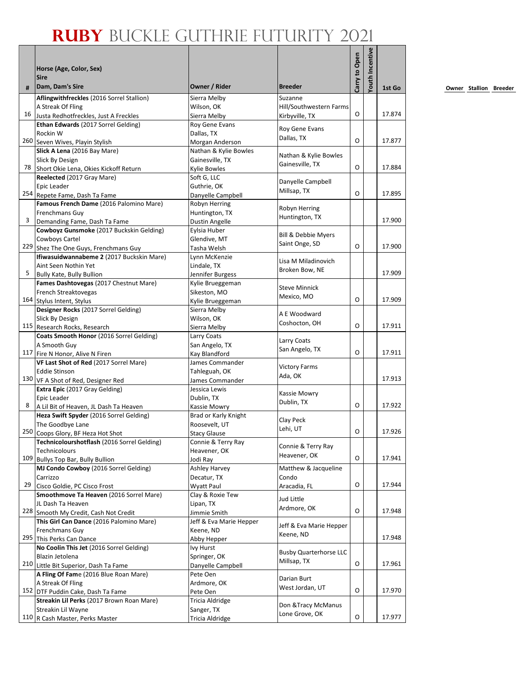|     | Horse (Age, Color, Sex)<br><b>Sire</b>                              |                                      |                                    | Carry to Open | outh Incentive |        |
|-----|---------------------------------------------------------------------|--------------------------------------|------------------------------------|---------------|----------------|--------|
| #   | Dam, Dam's Sire                                                     | Owner / Rider                        | <b>Breeder</b>                     |               |                | 1st Go |
|     | Aflingwithfreckles (2016 Sorrel Stallion)                           | Sierra Melby                         | Suzanne                            |               |                |        |
|     | A Streak Of Fling                                                   | Wilson, OK                           | Hill/Southwestern Farms            |               |                |        |
| 16  | Justa Redhotfreckles, Just A Freckles                               | Sierra Melby                         | Kirbyville, TX                     | O             |                | 17.874 |
|     | Ethan Edwards (2017 Sorrel Gelding)                                 | Roy Gene Evans                       | Roy Gene Evans                     |               |                |        |
|     | Rockin W<br>260 Seven Wives, Playin Stylish                         | Dallas, TX<br>Morgan Anderson        | Dallas, TX                         | O             |                | 17.877 |
|     | Slick A Lena (2016 Bay Mare)                                        | Nathan & Kylie Bowles                |                                    |               |                |        |
|     | Slick By Design                                                     | Gainesville, TX                      | Nathan & Kylie Bowles              |               |                |        |
| 78  | Short Okie Lena, Okies Kickoff Return                               | Kylie Bowles                         | Gainesville, TX                    | O             |                | 17.884 |
|     | Reelected (2017 Gray Mare)                                          | Soft G, LLC                          |                                    |               |                |        |
|     | Epic Leader                                                         | Guthrie, OK                          | Danyelle Campbell                  |               |                |        |
|     | 254 Repete Fame, Dash Ta Fame                                       | Danyelle Campbell                    | Millsap, TX                        | O             |                | 17.895 |
|     | Famous French Dame (2016 Palomino Mare)                             | Robyn Herring                        | Robyn Herring                      |               |                |        |
|     | Frenchmans Guy                                                      | Huntington, TX                       | Huntington, TX                     |               |                |        |
| 3   | Demanding Fame, Dash Ta Fame                                        | <b>Dustin Angelle</b>                |                                    |               |                | 17.900 |
|     | Cowboyz Gunsmoke (2017 Buckskin Gelding)                            | Eylsia Huber                         | <b>Bill &amp; Debbie Myers</b>     |               |                |        |
|     | Cowboys Cartel                                                      | Glendive, MT                         | Saint Onge, SD                     |               |                |        |
|     | 229 Shez The One Guys, Frenchmans Guy                               | Tasha Welsh                          |                                    | O             |                | 17.900 |
|     | Ifiwasuidwannabeme 2 (2017 Buckskin Mare)                           | Lynn McKenzie                        | Lisa M Miladinovich                |               |                |        |
| 5   | Aint Seen Nothin Yet                                                | Lindale, TX                          | Broken Bow, NE                     |               |                | 17.909 |
|     | Bully Kate, Bully Bullion<br>Fames Dashtovegas (2017 Chestnut Mare) | Jennifer Burgess<br>Kylie Brueggeman |                                    |               |                |        |
|     | French Streaktovegas                                                | Sikeston, MO                         | <b>Steve Minnick</b>               |               |                |        |
|     | 164 Stylus Intent, Stylus                                           | Kylie Brueggeman                     | Mexico, MO                         | O             |                | 17.909 |
|     | Designer Rocks (2017 Sorrel Gelding)                                | Sierra Melby                         |                                    |               |                |        |
|     | Slick By Design                                                     | Wilson, OK                           | A E Woodward                       |               |                |        |
|     | 115 Research Rocks, Research                                        | Sierra Melby                         | Coshocton, OH                      | O             |                | 17.911 |
|     | Coats Smooth Honor (2016 Sorrel Gelding)                            | Larry Coats                          |                                    |               |                |        |
|     | A Smooth Guy                                                        | San Angelo, TX                       | Larry Coats<br>San Angelo, TX      |               |                |        |
| 117 | Fire N Honor, Alive N Firen                                         | Kay Blandford                        |                                    | O             |                | 17.911 |
|     | VF Last Shot of Red (2017 Sorrel Mare)                              | James Commander                      | <b>Victory Farms</b>               |               |                |        |
|     | <b>Eddie Stinson</b>                                                | Tahleguah, OK                        | Ada, OK                            |               |                |        |
|     | 130 VF A Shot of Red, Designer Red                                  | James Commander                      |                                    |               |                | 17.913 |
|     | Extra Epic (2017 Gray Gelding)<br>Epic Leader                       | Jessica Lewis                        | Kassie Mowry                       |               |                |        |
| 8   | A Lil Bit of Heaven, JL Dash Ta Heaven                              | Dublin, TX<br>Kassie Mowry           | Dublin, TX                         | O             |                | 17.922 |
|     | Heza Swift Spyder (2016 Sorrel Gelding)                             | Brad or Karly Knight                 |                                    |               |                |        |
|     | The Goodbye Lane                                                    | Roosevelt, UT                        | Clay Peck                          |               |                |        |
| 250 | Coops Glory, BF Heza Hot Shot                                       | <b>Stacy Glause</b>                  | Lehi, UT                           | O             |                | 17.926 |
|     | Technicolourshotflash (2016 Sorrel Gelding)                         | Connie & Terry Ray                   |                                    |               |                |        |
|     | Technicolours                                                       | Heavener, OK                         | Connie & Terry Ray<br>Heavener, OK |               |                |        |
| 109 | <b>Bullys Top Bar, Bully Bullion</b>                                | Jodi Ray                             |                                    | O             |                | 17.941 |
|     | MJ Condo Cowboy (2016 Sorrel Gelding)                               | <b>Ashley Harvey</b>                 | Matthew & Jacqueline               |               |                |        |
|     | Carrizzo                                                            | Decatur, TX                          | Condo                              |               |                |        |
| 29  | Cisco Goldie, PC Cisco Frost                                        | <b>Wyatt Paul</b>                    | Aracadia, FL                       | O             |                | 17.944 |
|     | Smoothmove Ta Heaven (2016 Sorrel Mare)<br>JL Dash Ta Heaven        | Clay & Roxie Tew                     | Jud Little                         |               |                |        |
|     | 228 Smooth My Credit, Cash Not Credit                               | Lipan, TX<br>Jimmie Smith            | Ardmore, OK                        | O             |                | 17.948 |
|     | This Girl Can Dance (2016 Palomino Mare)                            | Jeff & Eva Marie Hepper              |                                    |               |                |        |
|     | Frenchmans Guy                                                      | Keene, ND                            | Jeff & Eva Marie Hepper            |               |                |        |
| 295 | This Perks Can Dance                                                | Abby Hepper                          | Keene, ND                          |               |                | 17.948 |
|     | No Coolin This Jet (2016 Sorrel Gelding)                            | Ivy Hurst                            |                                    |               |                |        |
|     | Blazin Jetolena                                                     | Springer, OK                         | <b>Busby Quarterhorse LLC</b>      |               |                |        |
|     | 210 Little Bit Superior, Dash Ta Fame                               | Danyelle Campbell                    | Millsap, TX                        | O             |                | 17.961 |
|     | A Fling Of Fame (2016 Blue Roan Mare)                               | Pete Oen                             | Darian Burt                        |               |                |        |
|     | A Streak Of Fling                                                   | Ardmore, OK                          | West Jordan, UT                    |               |                |        |
|     | 152 DTF Puddin Cake, Dash Ta Fame                                   | Pete Oen                             |                                    | O             |                | 17.970 |
|     | Streakin Lil Perks (2017 Brown Roan Mare)                           | Tricia Aldridge                      | Don & Tracy McManus                |               |                |        |
|     | Streakin Lil Wayne                                                  | Sanger, TX                           | Lone Grove, OK                     | O             |                |        |
|     | 110 R Cash Master, Perks Master                                     | Tricia Aldridge                      |                                    |               |                | 17.977 |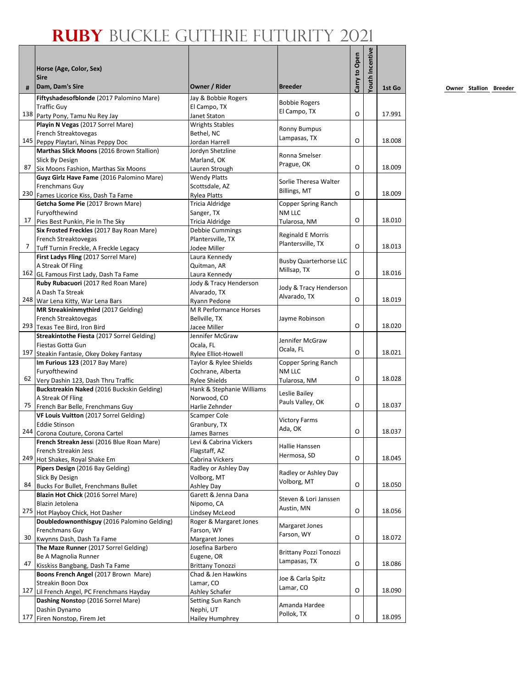|     |                                                                          |                                        |                                               |               | Youth Incentive |        |
|-----|--------------------------------------------------------------------------|----------------------------------------|-----------------------------------------------|---------------|-----------------|--------|
|     | Horse (Age, Color, Sex)                                                  |                                        |                                               |               |                 |        |
| #   | <b>Sire</b><br>Dam, Dam's Sire                                           | Owner / Rider                          | <b>Breeder</b>                                | Carry to Open |                 | 1st Go |
|     | Fiftyshadesofblonde (2017 Palomino Mare)                                 | Jay & Bobbie Rogers                    |                                               |               |                 |        |
|     | <b>Traffic Guy</b>                                                       | El Campo, TX                           | <b>Bobbie Rogers</b>                          |               |                 |        |
|     | 138 Party Pony, Tamu Nu Rey Jay                                          | Janet Staton                           | El Campo, TX                                  | O             |                 | 17.991 |
|     | Playin N Vegas (2017 Sorrel Mare)                                        | <b>Wrights Stables</b>                 | <b>Ronny Bumpus</b>                           |               |                 |        |
|     | French Streaktovegas                                                     | Bethel, NC                             | Lampasas, TX                                  |               |                 |        |
|     | 145 Peppy Playtari, Ninas Peppy Doc                                      | Jordan Harrell                         |                                               | O             |                 | 18.008 |
|     | Marthas Slick Moons (2016 Brown Stallion)                                | Jordyn Shetzline                       | Ronna Smelser                                 |               |                 |        |
| 87  | Slick By Design<br>Six Moons Fashion, Marthas Six Moons                  | Marland, OK                            | Prague, OK                                    | O             |                 | 18.009 |
|     | Guyz Girlz Have Fame (2016 Palomino Mare)                                | Lauren Strough<br><b>Wendy Platts</b>  |                                               |               |                 |        |
|     | Frenchmans Guy                                                           | Scottsdale, AZ                         | Sorlie Theresa Walter                         |               |                 |        |
|     | 230 Fames Licorice Kiss, Dash Ta Fame                                    | <b>Rylea Platts</b>                    | Billings, MT                                  | O             |                 | 18.009 |
|     | Getcha Some Pie (2017 Brown Mare)                                        | Tricia Aldridge                        | Copper Spring Ranch                           |               |                 |        |
|     | Furyofthewind                                                            | Sanger, TX                             | NM LLC                                        |               |                 |        |
| 17  | Pies Best Punkin, Pie In The Sky                                         | <b>Tricia Aldridge</b>                 | Tularosa, NM                                  | O             |                 | 18.010 |
|     | Six Frosted Freckles (2017 Bay Roan Mare)                                | Debbie Cummings                        |                                               |               |                 |        |
|     | French Streaktovegas                                                     | Plantersville, TX                      | <b>Reginald E Morris</b><br>Plantersville, TX |               |                 |        |
| 7   | Tuff Turnin Freckle, A Freckle Legacy                                    | Jodee Miller                           |                                               | O             |                 | 18.013 |
|     | First Ladys Fling (2017 Sorrel Mare)                                     | Laura Kennedy                          | <b>Busby Quarterhorse LLC</b>                 |               |                 |        |
|     | A Streak Of Fling                                                        | Quitman, AR                            | Millsap, TX                                   |               |                 |        |
|     | 162 GL Famous First Lady, Dash Ta Fame                                   | Laura Kennedy                          |                                               | O             |                 | 18.016 |
|     | Ruby Rubacuori (2017 Red Roan Mare)                                      | Jody & Tracy Henderson                 | Jody & Tracy Henderson                        |               |                 |        |
|     | A Dash Ta Streak                                                         | Alvarado, TX                           | Alvarado, TX                                  | O             |                 | 18.019 |
|     | 248 War Lena Kitty, War Lena Bars<br>MR Streakininmythird (2017 Gelding) | Ryann Pedone<br>M R Performance Horses |                                               |               |                 |        |
|     | French Streaktovegas                                                     | Bellville, TX                          | Jayme Robinson                                |               |                 |        |
|     | 293 Texas Tee Bird, Iron Bird                                            | Jacee Miller                           |                                               | O             |                 | 18.020 |
|     | Streakintothe Fiesta (2017 Sorrel Gelding)                               | Jennifer McGraw                        |                                               |               |                 |        |
|     | Fiestas Gotta Gun                                                        | Ocala, FL                              | Jennifer McGraw                               |               |                 |        |
| 197 | Steakin Fantasie, Okey Dokey Fantasy                                     | Rylee Elliot-Howell                    | Ocala, FL                                     | O             |                 | 18.021 |
|     | Im Furious 123 (2017 Bay Mare)                                           | Taylor & Rylee Shields                 | Copper Spring Ranch                           |               |                 |        |
|     | Furyofthewind                                                            | Cochrane, Alberta                      | NM LLC                                        |               |                 |        |
|     | 62 Very Dashin 123, Dash Thru Traffic                                    | <b>Rylee Shields</b>                   | Tularosa, NM                                  | O             |                 | 18.028 |
|     | Buckstreakin Naked (2016 Buckskin Gelding)                               | Hank & Stephanie Williams              | Leslie Bailey                                 |               |                 |        |
|     | A Streak Of Fling                                                        | Norwood, CO                            | Pauls Valley, OK                              |               |                 |        |
| 75  | French Bar Belle, Frenchmans Guy                                         | Harlie Zehnder                         |                                               | O             |                 | 18.037 |
|     | VF Louis Vuitton (2017 Sorrel Gelding)                                   | <b>Scamper Cole</b>                    | <b>Victory Farms</b>                          |               |                 |        |
|     | <b>Eddie Stinson</b><br>244 Corona Couture, Corona Cartel                | Granbury, TX                           | Ada, OK                                       | O             |                 | 18.037 |
|     | French Streakn Jessi (2016 Blue Roan Mare)                               | James Barnes<br>Levi & Cabrina Vickers |                                               |               |                 |        |
|     | French Streakin Jess                                                     | Flagstaff, AZ                          | Hallie Hanssen                                |               |                 |        |
|     | 249 Hot Shakes, Royal Shake Em                                           | Cabrina Vickers                        | Hermosa, SD                                   | O             |                 | 18.045 |
|     | Pipers Design (2016 Bay Gelding)                                         | Radley or Ashley Day                   |                                               |               |                 |        |
|     | Slick By Design                                                          | Volborg, MT                            | Radley or Ashley Day                          |               |                 |        |
| 84  | Bucks For Bullet, Frenchmans Bullet                                      | Ashley Day                             | Volborg, MT                                   | O             |                 | 18.050 |
|     | Blazin Hot Chick (2016 Sorrel Mare)                                      | Garett & Jenna Dana                    | Steven & Lori Janssen                         |               |                 |        |
|     | Blazin Jetolena                                                          | Nipomo, CA                             | Austin, MN                                    |               |                 |        |
|     | 275 Hot Playboy Chick, Hot Dasher                                        | Lindsey McLeod                         |                                               | O             |                 | 18.056 |
|     | Doubledownonthisguy (2016 Palomino Gelding)                              | Roger & Margaret Jones                 | Margaret Jones                                |               |                 |        |
|     | Frenchmans Guy                                                           | Farson, WY                             | Farson, WY                                    | O             |                 |        |
| 30  | Kwynns Dash, Dash Ta Fame<br>The Maze Runner (2017 Sorrel Gelding)       | Margaret Jones                         |                                               |               |                 | 18.072 |
|     | Be A Magnolia Runner                                                     | Josefina Barbero<br>Eugene, OR         | <b>Brittany Pozzi Tonozzi</b>                 |               |                 |        |
| 47  | Kisskiss Bangbang, Dash Ta Fame                                          | <b>Brittany Tonozzi</b>                | Lampasas, TX                                  | O             |                 | 18.086 |
|     | Boons French Angel (2017 Brown Mare)                                     | Chad & Jen Hawkins                     |                                               |               |                 |        |
|     | Streakin Boon Dox                                                        | Lamar, CO                              | Joe & Carla Spitz                             |               |                 |        |
|     | 127 Lil French Angel, PC Frenchmans Hayday                               | Ashley Schafer                         | Lamar, CO                                     | O             |                 | 18.090 |
|     | Dashing Nonstop (2016 Sorrel Mare)                                       | Setting Sun Ranch                      |                                               |               |                 |        |
|     | Dashin Dynamo                                                            | Nephi, UT                              | Amanda Hardee                                 |               |                 |        |
| 177 | Firen Nonstop, Firem Jet                                                 | Hailey Humphrey                        | Pollok, TX                                    | O             |                 | 18.095 |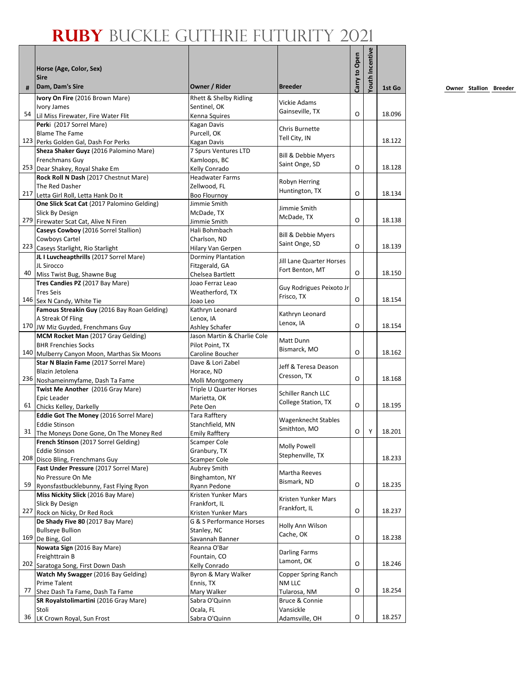|    |                                                                           |                                         |                                      |               | <b>'outh Incentive</b> |        |
|----|---------------------------------------------------------------------------|-----------------------------------------|--------------------------------------|---------------|------------------------|--------|
|    | Horse (Age, Color, Sex)                                                   |                                         |                                      | Carry to Open |                        |        |
|    | <b>Sire</b>                                                               |                                         |                                      |               |                        |        |
| #  | Dam, Dam's Sire                                                           | Owner / Rider                           | <b>Breeder</b>                       |               |                        | 1st Go |
|    | Ivory On Fire (2016 Brown Mare)                                           | Rhett & Shelby Ridling                  | Vickie Adams                         |               |                        |        |
| 54 | Ivory James<br>Lil Miss Firewater, Fire Water Flit                        | Sentinel, OK<br>Kenna Squires           | Gainseville, TX                      | O             |                        | 18.096 |
|    | Perki (2017 Sorrel Mare)                                                  | Kagan Davis                             |                                      |               |                        |        |
|    | <b>Blame The Fame</b>                                                     | Purcell, OK                             | Chris Burnette                       |               |                        |        |
|    | 123 Perks Golden Gal, Dash For Perks                                      | Kagan Davis                             | Tell City, IN                        |               |                        | 18.122 |
|    | Sheza Shaker Guyz (2016 Palomino Mare)                                    | 7 Spurs Ventures LTD                    | Bill & Debbie Myers                  |               |                        |        |
|    | Frenchmans Guy                                                            | Kamloops, BC                            | Saint Onge, SD                       | O             |                        | 18.128 |
|    | 253 Dear Shakey, Royal Shake Em<br>Rock Roll N Dash (2017 Chestnut Mare)  | Kelly Conrado<br><b>Headwater Farms</b> |                                      |               |                        |        |
|    | The Red Dasher                                                            | Zellwood, FL                            | Robyn Herring                        |               |                        |        |
|    | 217 Letta Girl Roll, Letta Hank Do It                                     | <b>Boo Flournoy</b>                     | Huntington, TX                       | O             |                        | 18.134 |
|    | One Slick Scat Cat (2017 Palomino Gelding)                                | Jimmie Smith                            |                                      |               |                        |        |
|    | Slick By Design                                                           | McDade, TX                              | Jimmie Smith<br>McDade, TX           |               |                        |        |
|    | 279 Firewater Scat Cat, Alive N Firen                                     | Jimmie Smith                            |                                      | O             |                        | 18.138 |
|    | Caseys Cowboy (2016 Sorrel Stallion)                                      | Hali Bohmbach                           | Bill & Debbie Myers                  |               |                        |        |
|    | Cowboys Cartel<br>223 Caseys Starlight, Rio Starlight                     | Charlson, ND<br>Hilary Van Gerpen       | Saint Onge, SD                       | O             |                        | 18.139 |
|    | JL I Luvcheapthrills (2017 Sorrel Mare)                                   | Dorminy Plantation                      |                                      |               |                        |        |
|    | JL Sirocco                                                                | Fitzgerald, GA                          | Jill Lane Quarter Horses             |               |                        |        |
| 40 | Miss Twist Bug, Shawne Bug                                                | Chelsea Bartlett                        | Fort Benton, MT                      | $\Omega$      |                        | 18.150 |
|    | Tres Candies PZ (2017 Bay Mare)                                           | Joao Ferraz Leao                        | Guy Rodrigues Peixoto Jr             |               |                        |        |
|    | <b>Tres Seis</b>                                                          | Weatherford, TX                         | Frisco, TX                           |               |                        |        |
|    | 146 Sex N Candy, White Tie                                                | Joao Leo                                |                                      | O             |                        | 18.154 |
|    | Famous Streakin Guy (2016 Bay Roan Gelding)                               | Kathryn Leonard                         | Kathryn Leonard                      |               |                        |        |
|    | A Streak Of Fling<br>170 JW Miz Guyded, Frenchmans Guy                    | Lenox, IA<br>Ashley Schafer             | Lenox, IA                            | O             |                        | 18.154 |
|    | MCM Rocket Man (2017 Gray Gelding)                                        | Jason Martin & Charlie Cole             |                                      |               |                        |        |
|    | <b>BHR Frenchies Socks</b>                                                | Pilot Point, TX                         | Matt Dunn                            |               |                        |        |
|    | 140 Mulberry Canyon Moon, Marthas Six Moons                               | Caroline Boucher                        | Bismarck, MO                         | O             |                        | 18.162 |
|    | Star N Blazin Fame (2017 Sorrel Mare)                                     | Dave & Lori Zabel                       | Jeff & Teresa Deason                 |               |                        |        |
|    | Blazin Jetolena                                                           | Horace, ND                              | Cresson, TX                          |               |                        |        |
|    | 236 Noshameinmyfame, Dash Ta Fame                                         | Molli Montgomery                        |                                      | O             |                        | 18.168 |
|    | Twist Me Another (2016 Gray Mare)<br>Epic Leader                          | Triple U Quarter Horses<br>Marietta, OK | Schiller Ranch LLC                   |               |                        |        |
| 61 | Chicks Kelley, Darkelly                                                   | Pete Oen                                | College Station, TX                  | O             |                        | 18.195 |
|    | Eddie Got The Money (2016 Sorrel Mare)                                    | <b>Tara Rafftery</b>                    |                                      |               |                        |        |
|    | <b>Eddie Stinson</b>                                                      | Stanchfield, MN                         | Wagenknecht Stables                  |               |                        |        |
| 31 | The Moneys Done Gone, On The Money Red                                    | <b>Emily Rafftery</b>                   | Smithton, MO                         | O             | Υ                      | 18.201 |
|    | French Stinson (2017 Sorrel Gelding)                                      | Scamper Cole                            | <b>Molly Powell</b>                  |               |                        |        |
|    | <b>Eddie Stinson</b>                                                      | Granbury, TX                            | Stephenville, TX                     |               |                        |        |
|    | 208 Disco Bling, Frenchmans Guy<br>Fast Under Pressure (2017 Sorrel Mare) | <b>Scamper Cole</b><br>Aubrey Smith     |                                      |               |                        | 18.233 |
|    | No Pressure On Me                                                         | Binghamton, NY                          | Martha Reeves                        |               |                        |        |
| 59 | Ryonsfastbucklebunny, Fast Flying Ryon                                    | Ryann Pedone                            | Bismark, ND                          | O             |                        | 18.235 |
|    | Miss Nickity Slick (2016 Bay Mare)                                        | Kristen Yunker Mars                     |                                      |               |                        |        |
|    | Slick By Design                                                           | Frankfort, IL                           | Kristen Yunker Mars<br>Frankfort, IL |               |                        |        |
|    | 227 Rock on Nicky, Dr Red Rock                                            | Kristen Yunker Mars                     |                                      | O             |                        | 18.237 |
|    | De Shady Five 80 (2017 Bay Mare)                                          | G & S Performance Horses                | Holly Ann Wilson                     |               |                        |        |
|    | <b>Bullseye Bullion</b><br>169 De Bing, Gol                               | Stanley, NC                             | Cache, OK                            | O             |                        | 18.238 |
|    | Nowata Sign (2016 Bay Mare)                                               | Savannah Banner<br>Reanna O'Bar         |                                      |               |                        |        |
|    | Freighttrain B                                                            | Fountain, CO                            | <b>Darling Farms</b>                 |               |                        |        |
|    | 202 Saratoga Song, First Down Dash                                        | Kelly Conrado                           | Lamont, OK                           | O             |                        | 18.246 |
|    | Watch My Swagger (2016 Bay Gelding)                                       | Byron & Mary Walker                     | Copper Spring Ranch                  |               |                        |        |
|    | Prime Talent                                                              | Ennis, TX                               | NM LLC                               |               |                        |        |
| 77 | Shez Dash Ta Fame, Dash Ta Fame                                           | Mary Walker                             | Tularosa, NM                         | O             |                        | 18.254 |
|    | SR Royalstolimartini (2016 Gray Mare)                                     | Sabra O'Quinn                           | Bruce & Connie                       |               |                        |        |
| 36 | Stoli<br>LK Crown Royal, Sun Frost                                        | Ocala, FL<br>Sabra O'Quinn              | Vansickle<br>Adamsville, OH          | O             |                        | 18.257 |
|    |                                                                           |                                         |                                      |               |                        |        |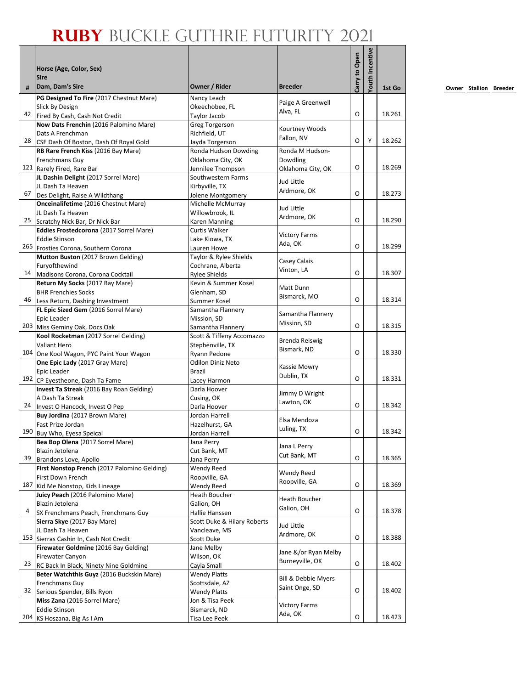|    |                                                                               |                                         |                      | Carry to Open | <b>Youth Incentive</b> |        |
|----|-------------------------------------------------------------------------------|-----------------------------------------|----------------------|---------------|------------------------|--------|
|    | Horse (Age, Color, Sex)<br><b>Sire</b>                                        |                                         |                      |               |                        |        |
| #  | Dam, Dam's Sire                                                               | Owner / Rider                           | <b>Breeder</b>       |               |                        | 1st Go |
|    | PG Designed To Fire (2017 Chestnut Mare)                                      | Nancy Leach                             | Paige A Greenwell    |               |                        |        |
|    | Slick By Design                                                               | Okeechobee, FL                          | Alva, FL             |               |                        |        |
|    | 42 Fired By Cash, Cash Not Credit                                             | Taylor Jacob                            |                      | O             |                        | 18.261 |
|    | Now Dats Frenchin (2016 Palomino Mare)                                        | Greg Torgerson                          | Kourtney Woods       |               |                        |        |
| 28 | Dats A Frenchman                                                              | Richfield. UT                           | Fallon, NV           | O             | Y                      | 18.262 |
|    | CSE Dash Of Boston, Dash Of Royal Gold<br>RB Rare French Kiss (2016 Bay Mare) | Jayda Torgerson<br>Ronda Hudson Dowding | Ronda M Hudson-      |               |                        |        |
|    | Frenchmans Guy                                                                | Oklahoma City, OK                       | Dowdling             |               |                        |        |
|    | 121 Rarely Fired, Rare Bar                                                    | Jennilee Thompson                       | Oklahoma City, OK    | O             |                        | 18.269 |
|    | JL Dashin Delight (2017 Sorrel Mare)                                          | Southwestern Farms                      |                      |               |                        |        |
|    | JL Dash Ta Heaven                                                             | Kirbyville, TX                          | Jud Little           |               |                        |        |
| 67 | Des Delight, Raise A Wildthang                                                | Jolene Montgomery                       | Ardmore, OK          | O             |                        | 18.273 |
|    | Onceinalifetime (2016 Chestnut Mare)                                          | Michelle McMurray                       |                      |               |                        |        |
|    | JL Dash Ta Heaven                                                             | Willowbrook, IL                         | Jud Little           |               |                        |        |
| 25 | Scratchy Nick Bar, Dr Nick Bar                                                | Karen Manning                           | Ardmore, OK          | O             |                        | 18.290 |
|    | Eddies Frostedcorona (2017 Sorrel Mare)                                       | Curtis Walker                           | <b>Victory Farms</b> |               |                        |        |
|    | <b>Eddie Stinson</b>                                                          | Lake Kiowa, TX                          | Ada, OK              |               |                        |        |
|    | 265 Frosties Corona, Southern Corona                                          | Lauren Howe                             |                      | O             |                        | 18.299 |
|    | Mutton Buston (2017 Brown Gelding)                                            | Taylor & Rylee Shields                  | Casey Calais         |               |                        |        |
|    | Furyofthewind                                                                 | Cochrane, Alberta                       | Vinton, LA           |               |                        |        |
| 14 | Madisons Corona, Corona Cocktail                                              | <b>Rylee Shields</b>                    |                      | O             |                        | 18.307 |
|    | Return My Socks (2017 Bay Mare)                                               | Kevin & Summer Kosel                    | Matt Dunn            |               |                        |        |
| 46 | <b>BHR Frenchies Socks</b>                                                    | Glenham. SD                             | Bismarck, MO         | O             |                        | 18.314 |
|    | Less Return, Dashing Investment                                               | Summer Kosel                            |                      |               |                        |        |
|    | FL Epic Sized Gem (2016 Sorrel Mare)<br>Epic Leader                           | Samantha Flannery<br>Mission, SD        | Samantha Flannery    |               |                        |        |
|    | 203 Miss Geminy Oak, Docs Oak                                                 | Samantha Flannery                       | Mission, SD          | O             |                        | 18.315 |
|    | Kool Rocketman (2017 Sorrel Gelding)                                          | Scott & Tiffeny Accomazzo               |                      |               |                        |        |
|    | Valiant Hero                                                                  | Stephenville, TX                        | Brenda Reiswig       |               |                        |        |
|    | 104 One Kool Wagon, PYC Paint Your Wagon                                      | Ryann Pedone                            | Bismark, ND          | O             |                        | 18.330 |
|    | One Epic Lady (2017 Gray Mare)                                                | <b>Odilon Diniz Neto</b>                |                      |               |                        |        |
|    | Epic Leader                                                                   | <b>Brazil</b>                           | Kassie Mowry         |               |                        |        |
|    | 192 CP Eyestheone, Dash Ta Fame                                               | Lacey Harmon                            | Dublin, TX           | O             |                        | 18.331 |
|    | Invest Ta Streak (2016 Bay Roan Gelding)                                      | Darla Hoover                            | Jimmy D Wright       |               |                        |        |
|    | A Dash Ta Streak                                                              | Cusing, OK                              | Lawton, OK           |               |                        |        |
| 24 | Invest O Hancock, Invest O Pep                                                | Darla Hoover                            |                      | O             |                        | 18.342 |
|    | Buy Jordina (2017 Brown Mare)                                                 | Jordan Harrell                          | Elsa Mendoza         |               |                        |        |
|    | Fast Prize Jordan                                                             | Hazelhurst, GA                          | Luling, TX           |               |                        | 18.342 |
|    | 190 Buy Who, Eyesa Speical                                                    | Jordan Harrell                          |                      | O             |                        |        |
|    | Bea Bop Olena (2017 Sorrel Mare)                                              | Jana Perry                              | Jana L Perry         |               |                        |        |
| 39 | Blazin Jetolena<br>Brandons Love, Apollo                                      | Cut Bank, MT                            | Cut Bank, MT         | O             |                        | 18.365 |
|    | First Nonstop French (2017 Palomino Gelding)                                  | Jana Perry<br>Wendy Reed                |                      |               |                        |        |
|    | First Down French                                                             | Roopville, GA                           | Wendy Reed           |               |                        |        |
|    | 187 Kid Me Nonstop, Kids Lineage                                              | Wendy Reed                              | Roopville, GA        | O             |                        | 18.369 |
|    | Juicy Peach (2016 Palomino Mare)                                              | Heath Boucher                           |                      |               |                        |        |
|    | Blazin Jetolena                                                               | Galion, OH                              | Heath Boucher        |               |                        |        |
| 4  | SX Frenchmans Peach, Frenchmans Guy                                           | Hallie Hanssen                          | Galion, OH           | O             |                        | 18.378 |
|    | Sierra Skye (2017 Bay Mare)                                                   | Scott Duke & Hilary Roberts             |                      |               |                        |        |
|    | JL Dash Ta Heaven                                                             | Vancleave, MS                           | Jud Little           |               |                        |        |
|    | 153 Sierras Cashin In, Cash Not Credit                                        | Scott Duke                              | Ardmore, OK          | O             |                        | 18.388 |
|    | Firewater Goldmine (2016 Bay Gelding)                                         | Jane Melby                              | Jane &/or Ryan Melby |               |                        |        |
|    | Firewater Canyon                                                              | Wilson, OK                              | Burneyville, OK      |               |                        |        |
| 23 | RC Back In Black, Ninety Nine Goldmine                                        | Cayla Small                             |                      | O             |                        | 18.402 |
|    | Beter Watchthis Guyz (2016 Buckskin Mare)                                     | <b>Wendy Platts</b>                     | Bill & Debbie Myers  |               |                        |        |
|    | Frenchmans Guy                                                                | Scottsdale, AZ                          | Saint Onge, SD       |               |                        |        |
| 32 | Serious Spender, Bills Ryon                                                   | <b>Wendy Platts</b>                     |                      | О             |                        | 18.402 |
|    | Miss Zana (2016 Sorrel Mare)                                                  | Jon & Tisa Peek                         | <b>Victory Farms</b> |               |                        |        |
|    | <b>Eddie Stinson</b>                                                          | Bismarck, ND                            | Ada, OK              | O             |                        | 18.423 |
|    | 204 KS Hoszana, Big As I Am                                                   | Tisa Lee Peek                           |                      |               |                        |        |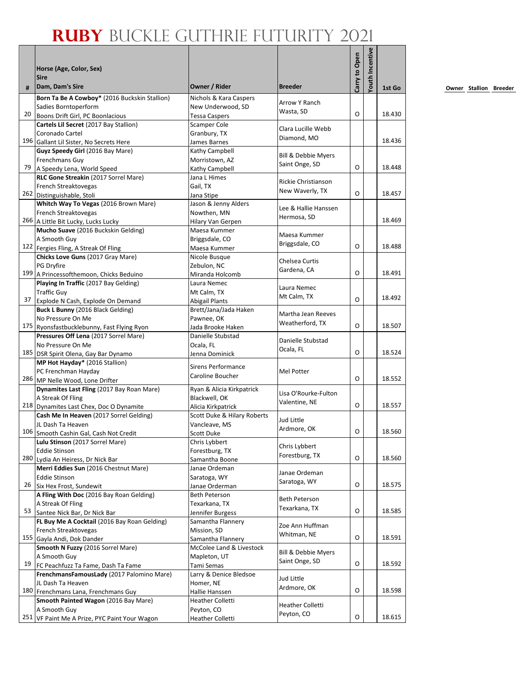|    |                                                                            |                                    |                                | Carry to Open | <b>/outh Incentive</b> |        |
|----|----------------------------------------------------------------------------|------------------------------------|--------------------------------|---------------|------------------------|--------|
|    | Horse (Age, Color, Sex)                                                    |                                    |                                |               |                        |        |
| #  | <b>Sire</b><br>Dam, Dam's Sire                                             | Owner / Rider                      | <b>Breeder</b>                 |               |                        | 1st Go |
|    | Born Ta Be A Cowboy* (2016 Buckskin Stallion)                              | Nichols & Kara Caspers             |                                |               |                        |        |
|    | Sadies Borntoperform                                                       | New Underwood, SD                  | <b>Arrow Y Ranch</b>           |               |                        |        |
| 20 | Boons Drift Girl, PC Boonlacious                                           | <b>Tessa Caspers</b>               | Wasta, SD                      | O             |                        | 18.430 |
|    | Cartels Lil Secret (2017 Bay Stallion)                                     | Scamper Cole                       |                                |               |                        |        |
|    | Coronado Cartel                                                            | Granbury, TX                       | Clara Lucille Webb             |               |                        |        |
|    | 196 Gallant Lil Sister, No Secrets Here                                    | James Barnes                       | Diamond, MO                    |               |                        | 18.436 |
|    | Guyz Speedy Girl (2016 Bay Mare)                                           | Kathy Campbell                     | Bill & Debbie Myers            |               |                        |        |
|    | Frenchmans Guy                                                             | Morristown, AZ                     | Saint Onge, SD                 |               |                        |        |
| 79 | A Speedy Lena, World Speed                                                 | Kathy Campbell                     |                                | O             |                        | 18.448 |
|    | RLC Gone Streakin (2017 Sorrel Mare)                                       | Jana L Himes                       | <b>Rickie Christianson</b>     |               |                        |        |
|    | French Streaktovegas                                                       | Gail, TX                           | New Waverly, TX                | O             |                        |        |
|    | 262 Distinguishable, Stoli                                                 | Jana Stipe                         |                                |               |                        | 18.457 |
|    | Whitch Way To Vegas (2016 Brown Mare)                                      | Jason & Jenny Alders               | Lee & Hallie Hanssen           |               |                        |        |
|    | French Streaktovegas<br>266 A Little Bit Lucky, Lucks Lucky                | Nowthen, MN                        | Hermosa, SD                    |               |                        | 18.469 |
|    | Mucho Suave (2016 Buckskin Gelding)                                        | Hilary Van Gerpen<br>Maesa Kummer  |                                |               |                        |        |
|    | A Smooth Guy                                                               | Briggsdale, CO                     | Maesa Kummer                   |               |                        |        |
|    | 122 Fergies Fling, A Streak Of Fling                                       | Maesa Kummer                       | Briggsdale, CO                 | O             |                        | 18.488 |
|    | Chicks Love Guns (2017 Gray Mare)                                          | Nicole Busque                      |                                |               |                        |        |
|    | PG Dryfire                                                                 | Zebulon, NC                        | Chelsea Curtis                 |               |                        |        |
|    | 199 A Princessofthemoon, Chicks Beduino                                    | Miranda Holcomb                    | Gardena, CA                    | O             |                        | 18.491 |
|    | Playing In Traffic (2017 Bay Gelding)                                      | Laura Nemec                        |                                |               |                        |        |
|    | <b>Traffic Guy</b>                                                         | Mt Calm, TX                        | Laura Nemec                    |               |                        |        |
| 37 | Explode N Cash, Explode On Demand                                          | <b>Abigail Plants</b>              | Mt Calm, TX                    | O             |                        | 18.492 |
|    | Buck L Bunny (2016 Black Gelding)                                          | Brett/Jana/Jada Haken              | Martha Jean Reeves             |               |                        |        |
|    | No Pressure On Me                                                          | Pawnee, OK                         | Weatherford, TX                |               |                        |        |
|    | 175 Ryonsfastbucklebunny, Fast Flying Ryon                                 | Jada Brooke Haken                  |                                | O             |                        | 18.507 |
|    | Pressures Off Lena (2017 Sorrel Mare)                                      | Danielle Stubstad                  | Danielle Stubstad              |               |                        |        |
|    | No Pressure On Me                                                          | Ocala, FL                          | Ocala, FL                      | O             |                        | 18.524 |
|    | 185 DSR Spirit Olena, Gay Bar Dynamo<br>MP Hot Hayday* (2016 Stallion)     | Jenna Dominick                     |                                |               |                        |        |
|    | PC Frenchman Hayday                                                        | <b>Sirens Performance</b>          | Mel Potter                     |               |                        |        |
|    | 286 MP Nelle Wood, Lone Drifter                                            | Caroline Boucher                   |                                | O             |                        | 18.552 |
|    | Dynamites Last Fling (2017 Bay Roan Mare)                                  | Ryan & Alicia Kirkpatrick          |                                |               |                        |        |
|    | A Streak Of Fling                                                          | Blackwell, OK                      | Lisa O'Rourke-Fulton           |               |                        |        |
|    | 218 Dynamites Last Chex, Doc O Dynamite                                    | Alicia Kirkpatrick                 | Valentine, NE                  | O             |                        | 18.557 |
|    | Cash Me In Heaven (2017 Sorrel Gelding)                                    | Scott Duke & Hilary Roberts        | Jud Little                     |               |                        |        |
|    | JL Dash Ta Heaven                                                          | Vancleave, MS                      | Ardmore, OK                    |               |                        |        |
|    | 106 Smooth Cashin Gal, Cash Not Credit                                     | <b>Scott Duke</b>                  |                                | O             |                        | 18.560 |
|    | Lulu Stinson (2017 Sorrel Mare)                                            | Chris Lybbert                      | Chris Lybbert                  |               |                        |        |
|    | <b>Eddie Stinson</b>                                                       | Forestburg, TX                     | Forestburg, TX                 | O             |                        | 18.560 |
|    | 280 Lydia An Heiress, Dr Nick Bar<br>Merri Eddies Sun (2016 Chestnut Mare) | Samantha Boone                     |                                |               |                        |        |
|    | <b>Eddie Stinson</b>                                                       | Janae Ordeman<br>Saratoga, WY      | Janae Ordeman                  |               |                        |        |
| 26 | Six Hex Frost, Sundewit                                                    | Janae Orderman                     | Saratoga, WY                   | O             |                        | 18.575 |
|    | A Fling With Doc (2016 Bay Roan Gelding)                                   | Beth Peterson                      |                                |               |                        |        |
|    | A Streak Of Fling                                                          | Texarkana, TX                      | <b>Beth Peterson</b>           |               |                        |        |
| 53 | Santee Nick Bar, Dr Nick Bar                                               | Jennifer Burgess                   | Texarkana, TX                  | O             |                        | 18.585 |
|    | FL Buy Me A Cocktail (2016 Bay Roan Gelding)                               | Samantha Flannery                  |                                |               |                        |        |
|    | French Streaktovegas                                                       | Mission, SD                        | Zoe Ann Huffman<br>Whitman, NE |               |                        |        |
|    | 155 Gayla Andi, Dok Dander                                                 | Samantha Flannery                  |                                | O             |                        | 18.591 |
|    | Smooth N Fuzzy (2016 Sorrel Mare)                                          | McColee Land & Livestock           | Bill & Debbie Myers            |               |                        |        |
|    | A Smooth Guy                                                               | Mapleton, UT                       | Saint Onge, SD                 |               |                        |        |
| 19 | FC Peachfuzz Ta Fame, Dash Ta Fame                                         | Tami Semas                         |                                | O             |                        | 18.592 |
|    | FrenchmansFamousLady (2017 Palomino Mare)                                  | Larry & Denice Bledsoe             | Jud Little                     |               |                        |        |
|    | JL Dash Ta Heaven<br>180 Frenchmans Lana, Frenchmans Guy                   | Homer, NE                          | Ardmore, OK                    | O             |                        | 18.598 |
|    | Smooth Painted Wagon (2016 Bay Mare)                                       | Hallie Hanssen<br>Heather Colletti |                                |               |                        |        |
|    | A Smooth Guy                                                               | Peyton, CO                         | Heather Colletti               |               |                        |        |
|    | 251 VF Paint Me A Prize, PYC Paint Your Wagon                              | Heather Colletti                   | Peyton, CO                     | O             |                        | 18.615 |
|    |                                                                            |                                    |                                |               |                        |        |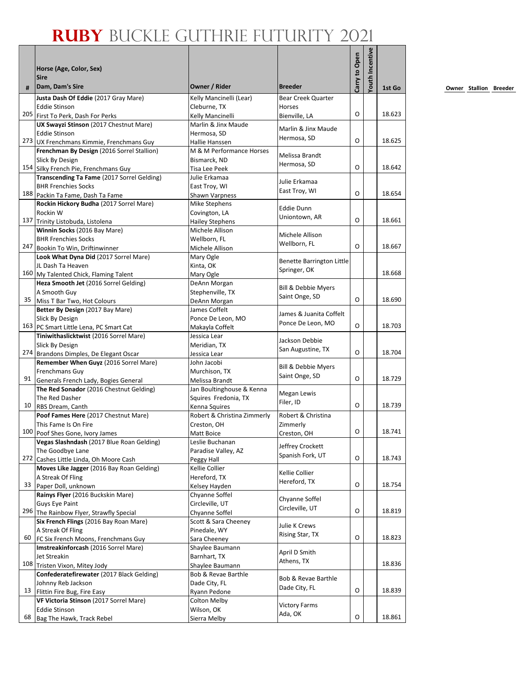|    | Horse (Age, Color, Sex)<br><b>Sire</b><br>Dam, Dam's Sire                           | Owner / Rider                    | <b>Breeder</b>                    | Carry to Open | <b>/outh Incentive</b> |        |
|----|-------------------------------------------------------------------------------------|----------------------------------|-----------------------------------|---------------|------------------------|--------|
| #  |                                                                                     |                                  |                                   |               |                        | 1st Go |
|    | Justa Dash Of Eddie (2017 Gray Mare)                                                | Kelly Mancinelli (Lear)          | <b>Bear Creek Quarter</b>         |               |                        |        |
|    | <b>Eddie Stinson</b><br>205 First To Perk, Dash For Perks                           | Cleburne, TX<br>Kelly Mancinelli | Horses<br>Bienville, LA           | O             |                        | 18.623 |
|    | UX Swayzi Stinson (2017 Chestnut Mare)                                              | Marlin & Jinx Maude              |                                   |               |                        |        |
|    | <b>Eddie Stinson</b>                                                                | Hermosa, SD                      | Marlin & Jinx Maude               |               |                        |        |
|    | 273 UX Frenchmans Kimmie, Frenchmans Guy                                            | Hallie Hanssen                   | Hermosa, SD                       | O             |                        | 18.625 |
|    | Frenchman By Design (2016 Sorrel Stallion)                                          | M & M Performance Horses         | Melissa Brandt                    |               |                        |        |
|    | Slick By Design                                                                     | Bismarck, ND                     | Hermosa, SD                       |               |                        |        |
|    | 154 Silky French Pie, Frenchmans Guy                                                | Tisa Lee Peek                    |                                   | O             |                        | 18.642 |
|    | Transcending Ta Fame (2017 Sorrel Gelding)                                          | Julie Erkamaa                    | Julie Erkamaa                     |               |                        |        |
|    | <b>BHR Frenchies Socks</b><br>188 Packin Ta Fame, Dash Ta Fame                      | East Troy, WI<br>Shawn Varpness  | East Troy, WI                     | O             |                        | 18.654 |
|    | Rockin Hickory Budha (2017 Sorrel Mare)                                             | Mike Stephens                    |                                   |               |                        |        |
|    | Rockin W                                                                            | Covington, LA                    | <b>Eddie Dunn</b>                 |               |                        |        |
|    | 137 Trinity Listobuda, Listolena                                                    | <b>Hailey Stephens</b>           | Uniontown, AR                     | O             |                        | 18.661 |
|    | Winnin Socks (2016 Bay Mare)                                                        | Michele Allison                  |                                   |               |                        |        |
|    | <b>BHR Frenchies Socks</b>                                                          | Wellborn, FL                     | Michele Allison<br>Wellborn, FL   |               |                        |        |
|    | 247 Bookin To Win, Driftinwinner                                                    | Michele Allison                  |                                   | O             |                        | 18.667 |
|    | Look What Dyna Did (2017 Sorrel Mare)                                               | Mary Ogle                        | Benette Barrington Little         |               |                        |        |
|    | JL Dash Ta Heaven                                                                   | Kinta, OK                        | Springer, OK                      |               |                        |        |
|    | 160 My Talented Chick, Flaming Talent                                               | Mary Ogle                        |                                   |               |                        | 18.668 |
|    | Heza Smooth Jet (2016 Sorrel Gelding)<br>A Smooth Guy                               | DeAnn Morgan<br>Stephenville, TX | Bill & Debbie Myers               |               |                        |        |
| 35 | Miss T Bar Two, Hot Colours                                                         | DeAnn Morgan                     | Saint Onge, SD                    | O             |                        | 18.690 |
|    | Better By Design (2017 Bay Mare)                                                    | James Coffelt                    |                                   |               |                        |        |
|    | Slick By Design                                                                     | Ponce De Leon, MO                | James & Juanita Coffelt           |               |                        |        |
|    | 163 PC Smart Little Lena, PC Smart Cat                                              | Makayla Coffelt                  | Ponce De Leon, MO                 | O             |                        | 18.703 |
|    | Tiniwithaslicktwist (2016 Sorrel Mare)                                              | Jessica Lear                     | Jackson Debbie                    |               |                        |        |
|    | Slick By Design                                                                     | Meridian, TX                     | San Augustine, TX                 |               |                        |        |
|    | 274 Brandons Dimples, De Elegant Oscar                                              | Jessica Lear                     |                                   | O             |                        | 18.704 |
|    | Remember When Guyz (2016 Sorrel Mare)                                               | John Jacobi                      | Bill & Debbie Myers               |               |                        |        |
|    | <b>Frenchmans Guy</b><br>91 Generals French Lady, Bogies General                    | Murchison, TX<br>Melissa Brandt  | Saint Onge, SD                    | O             |                        | 18.729 |
|    | The Red Sonador (2016 Chestnut Gelding)                                             | Jan Boultinghouse & Kenna        |                                   |               |                        |        |
|    | The Red Dasher                                                                      | Squires Fredonia, TX             | <b>Megan Lewis</b>                |               |                        |        |
| 10 | RBS Dream, Canth                                                                    | Kenna Squires                    | Filer, ID                         | O             |                        | 18.739 |
|    | Poof Fames Here (2017 Chestnut Mare)                                                | Robert & Christina Zimmerly      | Robert & Christina                |               |                        |        |
|    | This Fame Is On Fire                                                                | Creston, OH                      | Zimmerly                          |               |                        |        |
|    | 100 Poof Shes Gone, Ivory James                                                     | Matt Boice                       | Creston, OH                       | O             |                        | 18.741 |
|    | Vegas Slashndash (2017 Blue Roan Gelding)                                           | Leslie Buchanan                  | Jeffrey Crockett                  |               |                        |        |
|    | The Goodbye Lane                                                                    | Paradise Valley, AZ              | Spanish Fork, UT                  | O             |                        | 18.743 |
|    | 272 Cashes Little Linda, Oh Moore Cash<br>Moves Like Jagger (2016 Bay Roan Gelding) | Peggy Hall<br>Kellie Collier     |                                   |               |                        |        |
|    | A Streak Of Fling                                                                   | Hereford, TX                     | Kellie Collier                    |               |                        |        |
|    | 33 Paper Doll, unknown                                                              | Kelsey Hayden                    | Hereford, TX                      | O             |                        | 18.754 |
|    | Rainys Flyer (2016 Buckskin Mare)                                                   | Chyanne Soffel                   |                                   |               |                        |        |
|    | Guys Eye Paint                                                                      | Circleville, UT                  | Chyanne Soffel<br>Circleville, UT |               |                        |        |
|    | 296 The Rainbow Flyer, Strawfly Special                                             | Chyanne Soffel                   |                                   | O             |                        | 18.819 |
|    | Six French Flings (2016 Bay Roan Mare)                                              | Scott & Sara Cheeney             | Julie K Crews                     |               |                        |        |
|    | A Streak Of Fling                                                                   | Pinedale, WY                     | Rising Star, TX                   | O             |                        |        |
| 60 | FC Six French Moons, Frenchmans Guy<br>Imstreakinforcash (2016 Sorrel Mare)         | Sara Cheeney<br>Shaylee Baumann  |                                   |               |                        | 18.823 |
|    | Jet Streakin                                                                        | Barnhart, TX                     | April D Smith                     |               |                        |        |
|    | 108 Tristen Vixon, Mitey Jody                                                       | Shaylee Baumann                  | Athens, TX                        |               |                        | 18.836 |
|    | Confederatefirewater (2017 Black Gelding)                                           | Bob & Revae Barthle              |                                   |               |                        |        |
|    | Johnny Reb Jackson                                                                  | Dade City, FL                    | Bob & Revae Barthle               |               |                        |        |
|    | 13 Flittin Fire Bug, Fire Easy                                                      | Ryann Pedone                     | Dade City, FL                     | O             |                        | 18.839 |
|    | VF Victoria Stinson (2017 Sorrel Mare)                                              | Colton Melby                     | <b>Victory Farms</b>              |               |                        |        |
|    | <b>Eddie Stinson</b>                                                                | Wilson, OK                       | Ada, OK                           |               |                        |        |
| 68 | Bag The Hawk, Track Rebel                                                           | Sierra Melby                     |                                   | O             |                        | 18.861 |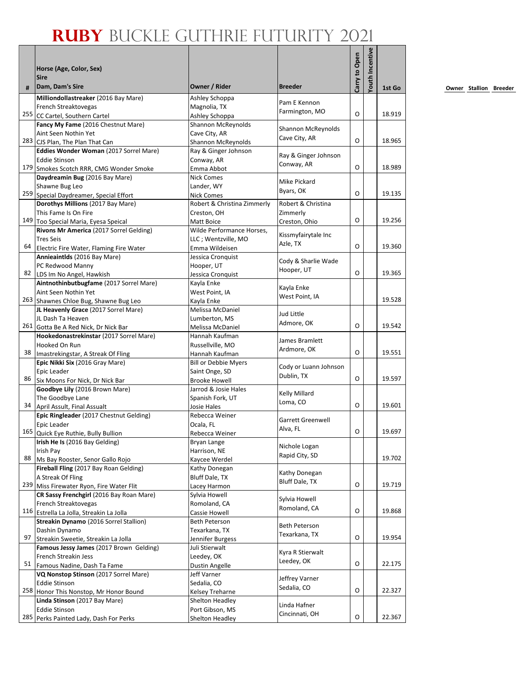|    | Horse (Age, Color, Sex)<br><b>Sire</b>                                          |                                                  |                                | Carry to Open | Youth Incentive |        |
|----|---------------------------------------------------------------------------------|--------------------------------------------------|--------------------------------|---------------|-----------------|--------|
| #  | Dam, Dam's Sire                                                                 | Owner / Rider                                    | <b>Breeder</b>                 |               |                 | 1st Go |
|    | Milliondollastreaker (2016 Bay Mare)                                            | Ashley Schoppa                                   | Pam E Kennon                   |               |                 |        |
|    | French Streaktovegas                                                            | Magnolia, TX                                     | Farmington, MO                 | O             |                 | 18.919 |
|    | 255 CC Cartel, Southern Cartel<br>Fancy My Fame (2016 Chestnut Mare)            | Ashley Schoppa<br>Shannon McReynolds             |                                |               |                 |        |
|    | Aint Seen Nothin Yet                                                            | Cave City, AR                                    | Shannon McReynolds             |               |                 |        |
|    | 283 CJS Plan, The Plan That Can                                                 | Shannon McReynolds                               | Cave City, AR                  | O             |                 | 18.965 |
|    | Eddies Wonder Woman (2017 Sorrel Mare)                                          | Ray & Ginger Johnson                             |                                |               |                 |        |
|    | <b>Eddie Stinson</b>                                                            | Conway, AR                                       | Ray & Ginger Johnson           |               |                 |        |
|    | 179 Smokes Scotch RRR, CMG Wonder Smoke                                         | Emma Abbot                                       | Conway, AR                     | O             |                 | 18.989 |
|    | Daydreamin Bug (2016 Bay Mare)                                                  | <b>Nick Comes</b>                                | Mike Pickard                   |               |                 |        |
|    | Shawne Bug Leo                                                                  | Lander, WY                                       | Byars, OK                      |               |                 |        |
|    | 259 Special Daydreamer, Special Effort                                          | <b>Nick Comes</b>                                |                                | O             |                 | 19.135 |
|    | Dorothys Millions (2017 Bay Mare)                                               | Robert & Christina Zimmerly                      | Robert & Christina             |               |                 |        |
|    | This Fame Is On Fire                                                            | Creston, OH                                      | Zimmerly                       | O             |                 | 19.256 |
|    | 149 Too Special Maria, Eyesa Speical<br>Rivons Mr America (2017 Sorrel Gelding) | Matt Boice                                       | Creston, Ohio                  |               |                 |        |
|    | <b>Tres Seis</b>                                                                | Wilde Performance Horses,<br>LLC; Wentzville, MO | Kissmyfairytale Inc            |               |                 |        |
| 64 | Electric Fire Water, Flaming Fire Water                                         | Emma Wildeisen                                   | Azle, TX                       | O             |                 | 19.360 |
|    | Annieaintlds (2016 Bay Mare)                                                    | Jessica Cronquist                                |                                |               |                 |        |
|    | PC Redwood Manny                                                                | Hooper, UT                                       | Cody & Sharlie Wade            |               |                 |        |
|    | 82 LDS Im No Angel, Hawkish                                                     | Jessica Cronquist                                | Hooper, UT                     | O             |                 | 19.365 |
|    | Aintnothinbutbugfame (2017 Sorrel Mare)                                         | Kayla Enke                                       |                                |               |                 |        |
|    | Aint Seen Nothin Yet                                                            | West Point, IA                                   | Kayla Enke                     |               |                 |        |
|    | 263 Shawnes Chloe Bug, Shawne Bug Leo                                           | Kayla Enke                                       | West Point, IA                 |               |                 | 19.528 |
|    | JL Heavenly Grace (2017 Sorrel Mare)                                            | Melissa McDaniel                                 |                                |               |                 |        |
|    | JL Dash Ta Heaven                                                               | Lumberton, MS                                    | Jud Little                     |               |                 |        |
|    | 261 Gotta Be A Red Nick, Dr Nick Bar                                            | Melissa McDaniel                                 | Admore, OK                     | O             |                 | 19.542 |
|    | Hookedonastrekinstar (2017 Sorrel Mare)                                         | Hannah Kaufman                                   | James Bramlett                 |               |                 |        |
|    | Hooked On Run                                                                   | Russellville, MO                                 | Ardmore, OK                    |               |                 |        |
| 38 | Imastrekingstar, A Streak Of Fling                                              | Hannah Kaufman                                   |                                | O             |                 | 19.551 |
|    | Epic Nikki Six (2016 Gray Mare)                                                 | <b>Bill or Debbie Myers</b>                      | Cody or Luann Johnson          |               |                 |        |
| 86 | Epic Leader                                                                     | Saint Onge, SD                                   | Dublin, TX                     | O             |                 | 19.597 |
|    | Six Moons For Nick, Dr Nick Bar                                                 | <b>Brooke Howell</b>                             |                                |               |                 |        |
|    | Goodbye Lily (2016 Brown Mare)<br>The Goodbye Lane                              | Jarrod & Josie Hales<br>Spanish Fork, UT         | Kelly Millard                  |               |                 |        |
| 34 | April Assult, Final Assualt                                                     | Josie Hales                                      | Loma, CO                       | O             |                 | 19.601 |
|    | Epic Ringleader (2017 Chestnut Gelding)                                         | Rebecca Weiner                                   |                                |               |                 |        |
|    | Epic Leader                                                                     | Ocala, FL                                        | Garrett Greenwell              |               |                 |        |
|    | 165 Quick Eye Ruthie, Bully Bullion                                             | Rebecca Weiner                                   | Alva, FL                       | O             |                 | 19.697 |
|    | Irish He Is (2016 Bay Gelding)                                                  | Bryan Lange                                      |                                |               |                 |        |
|    | Irish Pay                                                                       | Harrison, NE                                     | Nichole Logan                  |               |                 |        |
| 88 | Ms Bay Rooster, Senor Gallo Rojo                                                | Kaycee Werdel                                    | Rapid City, SD                 |               |                 | 19.702 |
|    | Fireball Fling (2017 Bay Roan Gelding)                                          | Kathy Donegan                                    | Kathy Donegan                  |               |                 |        |
|    | A Streak Of Fling                                                               | Bluff Dale, TX                                   | <b>Bluff Dale, TX</b>          |               |                 |        |
|    | 239 Miss Firewater Ryon, Fire Water Flit                                        | Lacey Harmon                                     |                                | O             |                 | 19.719 |
|    | CR Sassy Frenchgirl (2016 Bay Roan Mare)                                        | Sylvia Howell                                    | Sylvia Howell                  |               |                 |        |
|    | French Streaktovegas                                                            | Romoland, CA                                     | Romoland, CA                   | O             |                 | 19.868 |
|    | 116 Estrella La Jolla, Streakin La Jolla                                        | Cassie Howell                                    |                                |               |                 |        |
|    | Streakin Dynamo (2016 Sorrel Stallion)<br>Dashin Dynamo                         | Beth Peterson                                    | Beth Peterson                  |               |                 |        |
| 97 | Streakin Sweetie, Streakin La Jolla                                             | Texarkana, TX<br>Jennifer Burgess                | Texarkana, TX                  | O             |                 | 19.954 |
|    | Famous Jessy James (2017 Brown Gelding)                                         | Juli Stierwalt                                   |                                |               |                 |        |
|    | French Streakin Jess                                                            | Leedey, OK                                       | Kyra R Stierwalt               |               |                 |        |
| 51 | Famous Nadine, Dash Ta Fame                                                     | Dustin Angelle                                   | Leedey, OK                     | O             |                 | 22.175 |
|    | VQ Nonstop Stinson (2017 Sorrel Mare)                                           | Jeff Varner                                      |                                |               |                 |        |
|    | <b>Eddie Stinson</b>                                                            | Sedalia, CO                                      | Jeffrey Varner                 |               |                 |        |
|    | 258 Honor This Nonstop, Mr Honor Bound                                          | Kelsey Treharne                                  | Sedalia, CO                    | O             |                 | 22.327 |
|    | Linda Stinson (2017 Bay Mare)                                                   | Shelton Headley                                  |                                |               |                 |        |
|    | <b>Eddie Stinson</b>                                                            | Port Gibson, MS                                  | Linda Hafner<br>Cincinnati, OH |               |                 |        |
|    | 285 Perks Painted Lady, Dash For Perks                                          | Shelton Headley                                  |                                | О             |                 | 22.367 |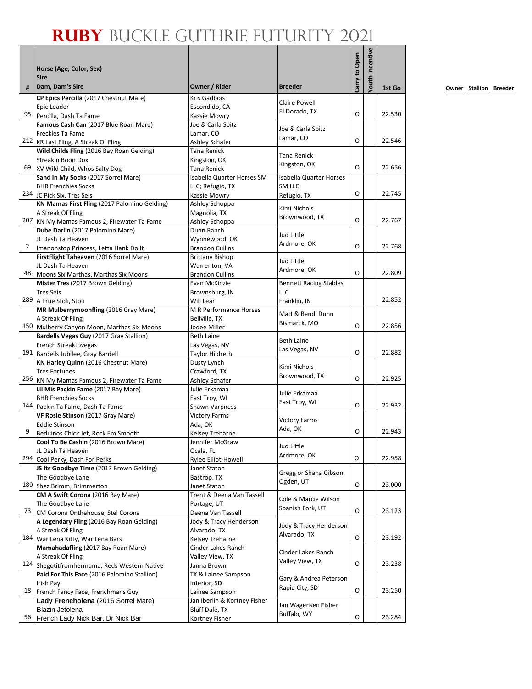|              | Horse (Age, Color, Sex)                                                                     |                                                  |                                    | Carry to Open | outh Incentive |        |
|--------------|---------------------------------------------------------------------------------------------|--------------------------------------------------|------------------------------------|---------------|----------------|--------|
|              | <b>Sire</b>                                                                                 |                                                  |                                    |               |                |        |
| #            | Dam, Dam's Sire                                                                             | Owner / Rider                                    | <b>Breeder</b>                     |               |                | 1st Go |
|              | CP Epics Percilla (2017 Chestnut Mare)                                                      | <b>Kris Gadbois</b>                              | Claire Powell                      |               |                |        |
| 95           | Epic Leader                                                                                 | Escondido, CA                                    | El Dorado, TX                      | O             |                | 22.530 |
|              | Percilla, Dash Ta Fame<br>Famous Cash Can (2017 Blue Roan Mare)                             | Kassie Mowry<br>Joe & Carla Spitz                |                                    |               |                |        |
|              | Freckles Ta Fame                                                                            | Lamar, CO                                        | Joe & Carla Spitz                  |               |                |        |
|              | 212 KR Last Fling, A Streak Of Fling                                                        | Ashley Schafer                                   | Lamar, CO                          | O             |                | 22.546 |
|              | Wild Childs Fling (2016 Bay Roan Gelding)                                                   | Tana Renick                                      | Tana Renick                        |               |                |        |
|              | Streakin Boon Dox                                                                           | Kingston, OK                                     | Kingston, OK                       | O             |                | 22.656 |
| 69           | XV Wild Child, Whos Salty Dog<br>Sand In My Socks (2017 Sorrel Mare)                        | Tana Renick<br>Isabella Quarter Horses SM        | <b>Isabella Quarter Horses</b>     |               |                |        |
|              | <b>BHR Frenchies Socks</b>                                                                  | LLC; Refugio, TX                                 | SM LLC                             |               |                |        |
|              | 234 JC Pick Six, Tres Seis                                                                  | Kassie Mowry                                     | Refugio, TX                        | O             |                | 22.745 |
|              | KN Mamas First Fling (2017 Palomino Gelding)                                                | Ashley Schoppa                                   |                                    |               |                |        |
|              | A Streak Of Fling                                                                           | Magnolia, TX                                     | Kimi Nichols<br>Brownwood, TX      |               |                |        |
|              | 207 KN My Mamas Famous 2, Firewater Ta Fame                                                 | Ashley Schoppa                                   |                                    | O             |                | 22.767 |
|              | Dube Darlin (2017 Palomino Mare)                                                            | Dunn Ranch                                       | Jud Little                         |               |                |        |
| $\mathbf{2}$ | JL Dash Ta Heaven                                                                           | Wynnewood, OK                                    | Ardmore, OK                        | O             |                | 22.768 |
|              | Imanonstop Princess, Letta Hank Do It<br>FirstFlight Taheaven (2016 Sorrel Mare)            | <b>Brandon Cullins</b><br><b>Brittany Bishop</b> |                                    |               |                |        |
|              | JL Dash Ta Heaven                                                                           | Warrenton, VA                                    | Jud Little                         |               |                |        |
| 48           | Moons Six Marthas, Marthas Six Moons                                                        | <b>Brandon Cullins</b>                           | Ardmore, OK                        | O             |                | 22.809 |
|              | Mister Tres (2017 Brown Gelding)                                                            | Evan McKinzie                                    | <b>Bennett Racing Stables</b>      |               |                |        |
|              | <b>Tres Seis</b>                                                                            | Brownsburg, IN                                   | LLC                                |               |                | 22.852 |
|              | 289 A True Stoli, Stoli                                                                     | Will Lear                                        | Franklin, IN                       |               |                |        |
|              | MR Mulberrymoonfling (2016 Gray Mare)<br>A Streak Of Fling                                  | M R Performance Horses<br>Bellville, TX          | Matt & Bendi Dunn                  |               |                |        |
|              | 150 Mulberry Canyon Moon, Marthas Six Moons                                                 | Jodee Miller                                     | Bismarck, MO                       | O             |                | 22.856 |
|              | Bardells Vegas Guy (2017 Gray Stallion)                                                     | <b>Beth Laine</b>                                |                                    |               |                |        |
|              | French Streaktovegas                                                                        | Las Vegas, NV                                    | <b>Beth Laine</b><br>Las Vegas, NV |               |                |        |
|              | 191 Bardells Jubilee, Gray Bardell                                                          | Taylor Hildreth                                  |                                    | O             |                | 22.882 |
|              | KN Harley Quinn (2016 Chestnut Mare)                                                        | Dusty Lynch                                      | Kimi Nichols                       |               |                |        |
|              | <b>Tres Fortunes</b><br>256 KN My Mamas Famous 2, Firewater Ta Fame                         | Crawford, TX<br>Ashley Schafer                   | Brownwood, TX                      | O             |                | 22.925 |
|              | Lil Mis Packin Fame (2017 Bay Mare)                                                         | Julie Erkamaa                                    |                                    |               |                |        |
|              | <b>BHR Frenchies Socks</b>                                                                  | East Troy, WI                                    | Julie Erkamaa                      |               |                |        |
|              | 144 Packin Ta Fame, Dash Ta Fame                                                            | Shawn Varpness                                   | East Troy, WI                      | O             |                | 22.932 |
|              | VF Rosie Stinson (2017 Gray Mare)                                                           | <b>Victory Farms</b>                             | <b>Victory Farms</b>               |               |                |        |
| 9            | <b>Eddie Stinson</b>                                                                        | Ada, OK                                          | Ada, OK                            | O             |                | 22.943 |
|              | Beduinos Chick Jet, Rock Em Smooth<br>Cool To Be Cashin (2016 Brown Mare)                   | Kelsey Treharne<br>Jennifer McGraw               |                                    |               |                |        |
|              | JL Dash Ta Heaven                                                                           | Ocala, FL                                        | Jud Little                         |               |                |        |
|              | 294 Cool Perky, Dash For Perks                                                              | Rylee Elliot-Howell                              | Ardmore, OK                        | O             |                | 22.958 |
|              | JS Its Goodbye Time (2017 Brown Gelding)                                                    | Janet Staton                                     | Gregg or Shana Gibson              |               |                |        |
|              | The Goodbye Lane                                                                            | Bastrop, TX                                      | Ogden, UT                          |               |                |        |
|              | 189 Shez Brimm, Brimmerton                                                                  | Janet Staton                                     |                                    | O             |                | 23.000 |
|              | CM A Swift Corona (2016 Bay Mare)<br>The Goodbye Lane                                       | Trent & Deena Van Tassell<br>Portage, UT         | Cole & Marcie Wilson               |               |                |        |
| 73           | CM Corona Onthehouse, Stel Corona                                                           | Deena Van Tassell                                | Spanish Fork, UT                   | O             |                | 23.123 |
|              | A Legendary Fling (2016 Bay Roan Gelding)                                                   | Jody & Tracy Henderson                           |                                    |               |                |        |
|              | A Streak Of Fling                                                                           | Alvarado, TX                                     | Jody & Tracy Henderson             |               |                |        |
|              | 184 War Lena Kitty, War Lena Bars                                                           | Kelsey Treharne                                  | Alvarado, TX                       | O             |                | 23.192 |
|              | Mamahadafling (2017 Bay Roan Mare)                                                          | Cinder Lakes Ranch                               | Cinder Lakes Ranch                 |               |                |        |
|              | A Streak Of Fling                                                                           | Valley View, TX                                  | Valley View, TX                    | O             |                | 23.238 |
|              | 124 Shegotitfromhermama, Reds Western Native<br>Paid For This Face (2016 Palomino Stallion) | Janna Brown<br>TK & Lainee Sampson               |                                    |               |                |        |
|              | Irish Pay                                                                                   | Interior, SD                                     | Gary & Andrea Peterson             |               |                |        |
| 18           | French Fancy Face, Frenchmans Guy                                                           | Lainee Sampson                                   | Rapid City, SD                     | O             |                | 23.250 |
|              | Lady Frencholena (2016 Sorrel Mare)                                                         | Jan Iberlin & Kortney Fisher                     | Jan Wagensen Fisher                |               |                |        |
|              | Blazin Jetolena                                                                             | Bluff Dale, TX                                   | Buffalo, WY                        |               |                |        |
| 56           | French Lady Nick Bar, Dr Nick Bar                                                           | Kortney Fisher                                   |                                    | O             |                | 23.284 |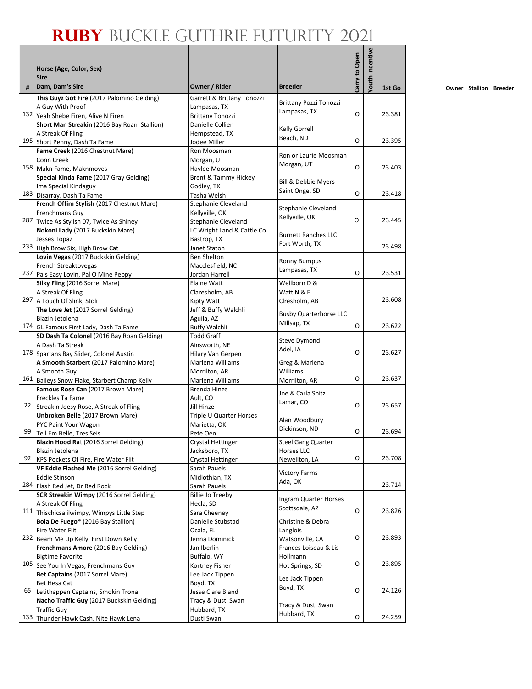|    |                                                                                      |                                                   |                                 |               | outh Incentive |        |
|----|--------------------------------------------------------------------------------------|---------------------------------------------------|---------------------------------|---------------|----------------|--------|
|    | Horse (Age, Color, Sex)                                                              |                                                   |                                 |               |                |        |
| #  | <b>Sire</b><br>Dam, Dam's Sire                                                       | Owner / Rider                                     | <b>Breeder</b>                  | Carry to Open |                | 1st Go |
|    | This Guyz Got Fire (2017 Palomino Gelding)                                           | Garrett & Brittany Tonozzi                        | <b>Brittany Pozzi Tonozzi</b>   |               |                |        |
|    | A Guy With Proof                                                                     | Lampasas, TX                                      | Lampasas, TX                    |               |                |        |
|    | 132 Yeah Shebe Firen, Alive N Firen                                                  | <b>Brittany Tonozzi</b>                           |                                 | O             |                | 23.381 |
|    | Short Man Streakin (2016 Bay Roan Stallion)                                          | Danielle Collier                                  | Kelly Gorrell                   |               |                |        |
|    | A Streak Of Fling<br>195 Short Penny, Dash Ta Fame                                   | Hempstead, TX<br>Jodee Miller                     | Beach, ND                       | O             |                | 23.395 |
|    | Fame Creek (2016 Chestnut Mare)                                                      | Ron Moosman                                       |                                 |               |                |        |
|    | Conn Creek                                                                           | Morgan, UT                                        | Ron or Laurie Moosman           |               |                |        |
|    | 158 Makn Fame, Maknmoves                                                             | Haylee Moosman                                    | Morgan, UT                      | O             |                | 23.403 |
|    | Special Kinda Fame (2017 Gray Gelding)                                               | <b>Brent &amp; Tammy Hickey</b>                   | Bill & Debbie Myers             |               |                |        |
|    | Ima Special Kindaguy                                                                 | Godley, TX                                        | Saint Onge, SD                  |               |                |        |
|    | 183 Disarray, Dash Ta Fame                                                           | Tasha Welsh                                       |                                 | $\Omega$      |                | 23.418 |
|    | French Offim Stylish (2017 Chestnut Mare)                                            | Stephanie Cleveland                               | Stephanie Cleveland             |               |                |        |
|    | Frenchmans Guy                                                                       | Kellyville, OK                                    | Kellyville, OK                  | O             |                | 23.445 |
|    | 287 Twice As Stylish 07, Twice As Shiney<br>Nokoni Lady (2017 Buckskin Mare)         | Stephanie Cleveland<br>LC Wright Land & Cattle Co |                                 |               |                |        |
|    | Jesses Topaz                                                                         | Bastrop, TX                                       | <b>Burnett Ranches LLC</b>      |               |                |        |
|    | 233 High Brow Six, High Brow Cat                                                     | Janet Staton                                      | Fort Worth, TX                  |               |                | 23.498 |
|    | Lovin Vegas (2017 Buckskin Gelding)                                                  | Ben Shelton                                       |                                 |               |                |        |
|    | French Streaktovegas                                                                 | Macclesfield, NC                                  | <b>Ronny Bumpus</b>             |               |                |        |
|    | 237 Pals Easy Lovin, Pal O Mine Peppy                                                | Jordan Harrell                                    | Lampasas, TX                    | O             |                | 23.531 |
|    | Silky Fling (2016 Sorrel Mare)                                                       | Elaine Watt                                       | Wellborn D &                    |               |                |        |
|    | A Streak Of Fling                                                                    | Claresholm, AB                                    | Watt N & E                      |               |                |        |
|    | 297 A Touch Of Slink, Stoli                                                          | <b>Kipty Watt</b>                                 | Clresholm, AB                   |               |                | 23.608 |
|    | The Love Jet (2017 Sorrel Gelding)                                                   | Jeff & Buffy Walchli                              | <b>Busby Quarterhorse LLC</b>   |               |                |        |
|    | Blazin Jetolena                                                                      | Aguila, AZ                                        | Millsap, TX                     | O             |                | 23.622 |
|    | 174 GL Famous First Lady, Dash Ta Fame<br>SD Dash Ta Colonel (2016 Bay Roan Gelding) | <b>Buffy Walchli</b><br><b>Todd Graff</b>         |                                 |               |                |        |
|    | A Dash Ta Streak                                                                     | Ainsworth, NE                                     | <b>Steve Dymond</b>             |               |                |        |
|    | 178 Spartans Bay Slider, Colonel Austin                                              | Hilary Van Gerpen                                 | Adel, IA                        | O             |                | 23.627 |
|    | A Smooth Starbert (2017 Palomino Mare)                                               | Marlena Williams                                  | Greg & Marlena                  |               |                |        |
|    | A Smooth Guy                                                                         | Morrilton, AR                                     | Williams                        |               |                |        |
|    | 161 Baileys Snow Flake, Starbert Champ Kelly                                         | Marlena Williams                                  | Morrilton, AR                   | O             |                | 23.637 |
|    | Famous Rose Can (2017 Brown Mare)                                                    | Brenda Hinze                                      | Joe & Carla Spitz               |               |                |        |
|    | Freckles Ta Fame                                                                     | Ault, CO                                          | Lamar, CO                       |               |                |        |
| 22 | Streakin Joesy Rose, A Streak of Fling                                               | Jill Hinze                                        |                                 | O             |                | 23.657 |
|    | Unbroken Belle (2017 Brown Mare)                                                     | Triple U Quarter Horses                           | Alan Woodbury                   |               |                |        |
| 99 | PYC Paint Your Wagon                                                                 | Marietta, OK                                      | Dickinson, ND                   | O             |                | 23.694 |
|    | Tell Em Belle, Tres Seis<br>Blazin Hood Rat (2016 Sorrel Gelding)                    | Pete Oen<br>Crystal Hettinger                     | <b>Steel Gang Quarter</b>       |               |                |        |
|    | Blazin Jetolena                                                                      | Jacksboro, TX                                     | Horses LLC                      |               |                |        |
|    | 92 KPS Pockets Of Fire, Fire Water Flit                                              | Crystal Hettinger                                 | Newellton, LA                   | O             |                | 23.708 |
|    | VF Eddie Flashed Me (2016 Sorrel Gelding)                                            | Sarah Pauels                                      |                                 |               |                |        |
|    | <b>Eddie Stinson</b>                                                                 | Midlothian, TX                                    | <b>Victory Farms</b><br>Ada, OK |               |                |        |
|    | 284 Flash Red Jet, Dr Red Rock                                                       | Sarah Pauels                                      |                                 |               |                | 23.714 |
|    | SCR Streakin Wimpy (2016 Sorrel Gelding)                                             | Billie Jo Treeby                                  | Ingram Quarter Horses           |               |                |        |
|    | A Streak Of Fling                                                                    | Hecla, SD                                         | Scottsdale, AZ                  | O             |                |        |
|    | 111 Thischicsalilwimpy, Wimpys Little Step                                           | Sara Cheeney<br>Danielle Stubstad                 |                                 |               |                | 23.826 |
|    | Bola De Fuego* (2016 Bay Stallion)<br>Fire Water Flit                                | Ocala, FL                                         | Christine & Debra<br>Langlois   |               |                |        |
|    | 232 Beam Me Up Kelly, First Down Kelly                                               | Jenna Dominick                                    | Watsonville, CA                 | O             |                | 23.893 |
|    | Frenchmans Amore (2016 Bay Gelding)                                                  | Jan Iberlin                                       | Frances Loiseau & Lis           |               |                |        |
|    | <b>Bigtime Favorite</b>                                                              | Buffalo, WY                                       | Hollmann                        |               |                |        |
|    | 105 See You In Vegas, Frenchmans Guy                                                 | Kortney Fisher                                    | Hot Springs, SD                 | O             |                | 23.895 |
|    | Bet Captains (2017 Sorrel Mare)                                                      | Lee Jack Tippen                                   | Lee Jack Tippen                 |               |                |        |
|    | Bet Hesa Cat                                                                         | Boyd, TX                                          | Boyd, TX                        |               |                |        |
| 65 | Letithappen Captains, Smokin Trona                                                   | Jesse Clare Bland                                 |                                 | O             |                | 24.126 |
|    | Nacho Traffic Guy (2017 Buckskin Gelding)                                            | Tracy & Dusti Swan                                | Tracy & Dusti Swan              |               |                |        |
|    | <b>Traffic Guv</b>                                                                   | Hubbard, TX                                       | Hubbard, TX                     | O             |                | 24.259 |
|    | 133 Thunder Hawk Cash, Nite Hawk Lena                                                | Dusti Swan                                        |                                 |               |                |        |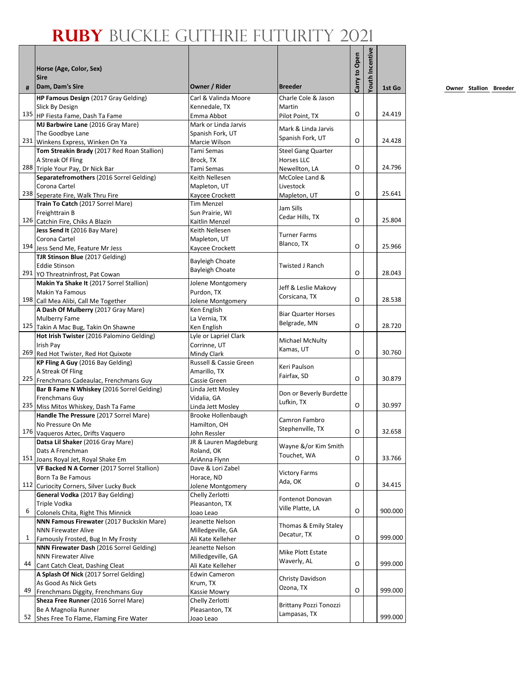|    | Horse (Age, Color, Sex)<br><b>Sire</b>                                  |                                       |                                       | Carry to Open | outh Incentive |         |
|----|-------------------------------------------------------------------------|---------------------------------------|---------------------------------------|---------------|----------------|---------|
| #  | Dam, Dam's Sire                                                         | Owner / Rider                         | <b>Breeder</b>                        |               |                | 1st Go  |
|    | HP Famous Design (2017 Gray Gelding)                                    | Carl & Valinda Moore                  | Charle Cole & Jason                   |               |                |         |
|    | Slick By Design                                                         | Kennedale, TX                         | Martin                                |               |                |         |
|    | 135 HP Fiesta Fame, Dash Ta Fame                                        | Emma Abbot                            | Pilot Point, TX                       | O             |                | 24.419  |
|    | MJ Barbwire Lane (2016 Gray Mare)                                       | Mark or Linda Jarvis                  | Mark & Linda Jarvis                   |               |                |         |
|    | The Goodbye Lane<br>231 Winkens Express, Winken On Ya                   | Spanish Fork, UT<br>Marcie Wilson     | Spanish Fork, UT                      | O             |                | 24.428  |
|    | Tom Streakin Brady (2017 Red Roan Stallion)                             | Tami Semas                            | <b>Steel Gang Quarter</b>             |               |                |         |
|    | A Streak Of Fling                                                       | Brock, TX                             | Horses LLC                            |               |                |         |
|    | 288 Triple Your Pay, Dr Nick Bar                                        | Tami Semas                            | Newellton, LA                         | O             |                | 24.796  |
|    | Separatefromothers (2016 Sorrel Gelding)                                | Keith Nellesen                        | McColee Land &                        |               |                |         |
|    | Corona Cartel                                                           | Mapleton, UT                          | Livestock                             |               |                |         |
|    | 238 Seperate Fire, Walk Thru Fire                                       | Kaycee Crockett                       | Mapleton, UT                          | O             |                | 25.641  |
|    | Train To Catch (2017 Sorrel Mare)                                       | Tim Menzel                            | Jam Sills                             |               |                |         |
|    | Freighttrain B                                                          | Sun Prairie, WI                       | Cedar Hills, TX                       |               |                |         |
|    | 126 Catchin Fire, Chiks A Blazin                                        | Kaitlin Menzel                        |                                       | O             |                | 25.804  |
|    | Jess Send It (2016 Bay Mare)<br>Corona Cartel                           | Keith Nellesen<br>Mapleton, UT        | <b>Turner Farms</b>                   |               |                |         |
|    | 194 Jess Send Me, Feature Mr Jess                                       | Kaycee Crockett                       | Blanco, TX                            | O             |                | 25.966  |
|    | TJR Stinson Blue (2017 Gelding)                                         |                                       |                                       |               |                |         |
|    | <b>Eddie Stinson</b>                                                    | <b>Bayleigh Choate</b>                | Twisted J Ranch                       |               |                |         |
|    | 291 YO Threatninfrost, Pat Cowan                                        | <b>Bayleigh Choate</b>                |                                       | O             |                | 28.043  |
|    | Makin Ya Shake It (2017 Sorrel Stallion)                                | Jolene Montgomery                     |                                       |               |                |         |
|    | Makin Ya Famous                                                         | Purdon, TX                            | Jeff & Leslie Makovy<br>Corsicana, TX |               |                |         |
|    | 198 Call Mea Alibi, Call Me Together                                    | Jolene Montgomery                     |                                       | $\Omega$      |                | 28.538  |
|    | A Dash Of Mulberry (2017 Gray Mare)                                     | Ken English                           | Biar Quarter Horses                   |               |                |         |
|    | Mulberry Fame                                                           | La Vernia, TX                         | Belgrade, MN                          | O             |                | 28.720  |
|    | 125 Takin A Mac Bug, Takin On Shawne                                    | Ken English                           |                                       |               |                |         |
|    | Hot Irish Twister (2016 Palomino Gelding)<br>Irish Pay                  | Lyle or Lapriel Clark<br>Corrinne, UT | Michael McNulty                       |               |                |         |
|    | 269 Red Hot Twister, Red Hot Quixote                                    | Mindy Clark                           | Kamas, UT                             | O             |                | 30.760  |
|    | KP Fling A Guy (2016 Bay Gelding)                                       | Russell & Cassie Green                |                                       |               |                |         |
|    | A Streak Of Fling                                                       | Amarillo, TX                          | Keri Paulson                          |               |                |         |
|    | 225 Frenchmans Cadeaulac, Frenchmans Guy                                | Cassie Green                          | Fairfax, SD                           | O             |                | 30.879  |
|    | Bar B Fame N Whiskey (2016 Sorrel Gelding)                              | Linda Jett Mosley                     | Don or Beverly Burdette               |               |                |         |
|    | Frenchmans Guy                                                          | Vidalia, GA                           | Lufkin, TX                            |               |                |         |
|    | 235 Miss Mitos Whiskey, Dash Ta Fame                                    | Linda Jett Mosley                     |                                       | O             |                | 30.997  |
|    | Handle The Pressure (2017 Sorrel Mare)                                  | <b>Brooke Hollenbaugh</b>             | Camron Fambro                         |               |                |         |
|    | No Pressure On Me                                                       | Hamilton, OH                          | Stephenville, TX                      | O             |                | 32.658  |
|    | 176 Vaqueros Aztec, Drifts Vaquero<br>Datsa Lil Shaker (2016 Gray Mare) | John Ressler<br>JR & Lauren Magdeburg |                                       |               |                |         |
|    | Dats A Frenchman                                                        | Roland, OK                            | Wayne &/or Kim Smith                  |               |                |         |
|    | 151 Joans Royal Jet, Royal Shake Em                                     | AriAnna Flynn                         | Touchet, WA                           | O             |                | 33.766  |
|    | VF Backed N A Corner (2017 Sorrel Stallion)                             | Dave & Lori Zabel                     |                                       |               |                |         |
|    | Born Ta Be Famous                                                       | Horace, ND                            | <b>Victory Farms</b><br>Ada, OK       |               |                |         |
|    | 112 Curiocity Corners, Silver Lucky Buck                                | Jolene Montgomery                     |                                       | O             |                | 34.415  |
|    | General Vodka (2017 Bay Gelding)                                        | Chelly Zerlotti                       | Fontenot Donovan                      |               |                |         |
|    | Triple Vodka                                                            | Pleasanton, TX                        | Ville Platte, LA                      |               |                |         |
| 6  | Colonels Chita, Right This Minnick                                      | Joao Leao                             |                                       | O             |                | 900.000 |
|    | NNN Famous Firewater (2017 Buckskin Mare)<br><b>NNN Firewater Alive</b> | Jeanette Nelson<br>Milledgeville, GA  | Thomas & Emily Staley                 |               |                |         |
| 1  | Famously Frosted, Bug In My Frosty                                      | Ali Kate Kelleher                     | Decatur, TX                           | O             |                | 999.000 |
|    | NNN Firewater Dash (2016 Sorrel Gelding)                                | Jeanette Nelson                       |                                       |               |                |         |
|    | <b>NNN Firewater Alive</b>                                              | Milledgeville, GA                     | Mike Plott Estate                     |               |                |         |
| 44 | Cant Catch Cleat, Dashing Cleat                                         | Ali Kate Kelleher                     | Waverly, AL                           | O             |                | 999.000 |
|    | A Splash Of Nick (2017 Sorrel Gelding)                                  | <b>Edwin Cameron</b>                  |                                       |               |                |         |
|    | As Good As Nick Gets                                                    | Krum, TX                              | Christy Davidson<br>Ozona, TX         |               |                |         |
| 49 | Frenchmans Diggity, Frenchmans Guy                                      | Kassie Mowry                          |                                       | O             |                | 999.000 |
|    | Sheza Free Runner (2016 Sorrel Mare)                                    | Chelly Zerlotti                       | Brittany Pozzi Tonozzi                |               |                |         |
|    | Be A Magnolia Runner                                                    | Pleasanton, TX                        | Lampasas, TX                          |               |                |         |
| 52 | Shes Free To Flame, Flaming Fire Water                                  | Joao Leao                             |                                       |               |                | 999.000 |